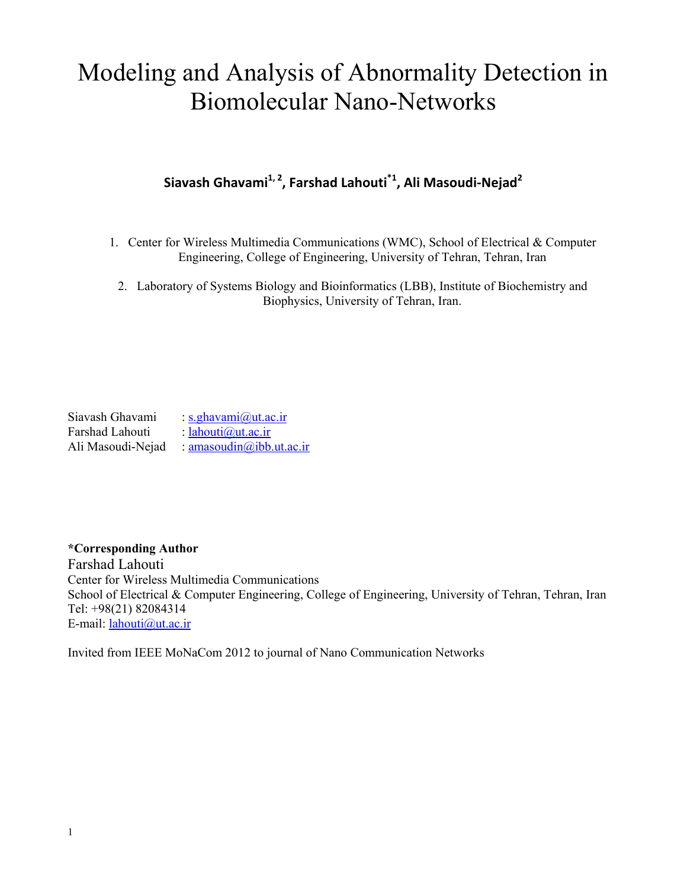# Modeling and Analysis of Abnormality Detection in Biomolecular Nano-Networks

# **Siavash Ghavami1, 2 , Farshad Lahouti\*1 , Ali Masoudi-Nejad<sup>2</sup>**

- 1. Center for Wireless Multimedia Communications (WMC), School of Electrical & Computer Engineering, College of Engineering, University of Tehran, Tehran, Iran
	- 2. Laboratory of Systems Biology and Bioinformatics (LBB), Institute of Biochemistry and Biophysics, University of Tehran, Iran.

Siavash Ghavami : [s.ghavami@ut.ac.ir](mailto:s.ghavami@ut.ac.ir)<br>Farshad Lahouti : lahouti@ut.ac.ir  $lahouti@ut.ac.ir$ Ali Masoudi-Nejad : [amasoudin@ibb.ut.ac.ir](mailto:amasoudin@ibb.ut.ac.ir) 

# **\*Corresponding Author**

Farshad Lahouti Center for Wireless Multimedia Communications School of Electrical & Computer Engineering, College of Engineering, University of Tehran, Tehran, Iran Tel: +98(21) 82084314 E-mail: [lahouti@ut.ac.ir](mailto:lahouti@ut.ac.ir)

Invited from IEEE MoNaCom 2012 to journal of Nano Communication Networks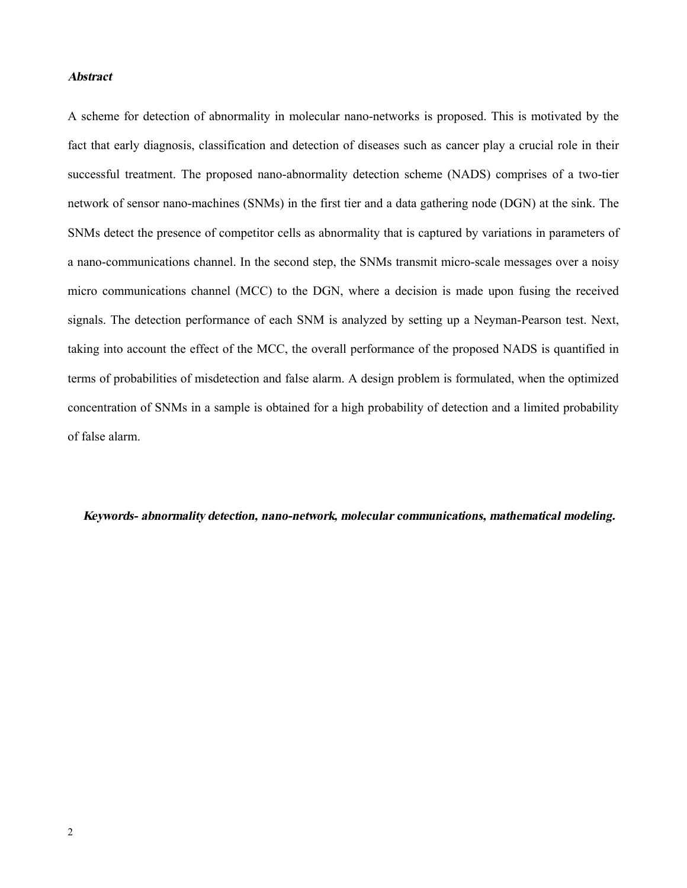## *Abstract*

A scheme for detection of abnormality in molecular nano-networks is proposed. This is motivated by the fact that early diagnosis, classification and detection of diseases such as cancer play a crucial role in their successful treatment. The proposed nano-abnormality detection scheme (NADS) comprises of a two-tier network of sensor nano-machines (SNMs) in the first tier and a data gathering node (DGN) at the sink. The SNMs detect the presence of competitor cells as abnormality that is captured by variations in parameters of a nano-communications channel. In the second step, the SNMs transmit micro-scale messages over a noisy micro communications channel (MCC) to the DGN, where a decision is made upon fusing the received signals. The detection performance of each SNM is analyzed by setting up a Neyman-Pearson test. Next, taking into account the effect of the MCC, the overall performance of the proposed NADS is quantified in terms of probabilities of misdetection and false alarm. A design problem is formulated, when the optimized concentration of SNMs in a sample is obtained for a high probability of detection and a limited probability of false alarm.

*Keywords- abnormality detection, nano-network, molecular communications, mathematical modeling.*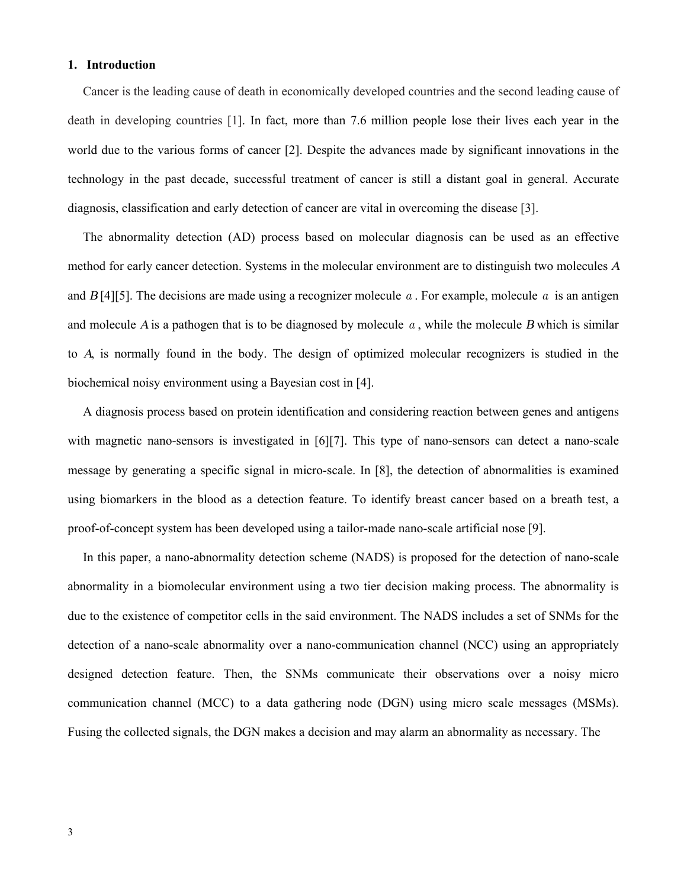#### **1. Introduction**

Cancer is the leading cause of death in economically developed countries and the second leading cause of death in developing countries [1]. In fact, more than 7.6 million people lose their lives each year in the world due to the various forms of cancer [2]. Despite the advances made by significant innovations in the technology in the past decade, successful treatment of cancer is still a distant goal in general. Accurate diagnosis, classification and early detection of cancer are vital in overcoming the disease [3].

The abnormality detection (AD) process based on molecular diagnosis can be used as an effective method for early cancer detection. Systems in the molecular environment are to distinguish two molecules *<sup>A</sup>* and  $B[4][5]$ . The decisions are made using a recognizer molecule  $a$ . For example, molecule  $a$  is an antigen and molecule *<sup>A</sup>* is a pathogen that is to be diagnosed by molecule *a* , while the molecule *B* which is similar to *A*, is normally found in the body. The design of optimized molecular recognizers is studied in the biochemical noisy environment using a Bayesian cost in [4].

A diagnosis process based on protein identification and considering reaction between genes and antigens with magnetic nano-sensors is investigated in  $[6][7]$ . This type of nano-sensors can detect a nano-scale message by generating a specific signal in micro-scale. In [8], the detection of abnormalities is examined using biomarkers in the blood as a detection feature. To identify breast cancer based on a breath test, a proof-of-concept system has been developed using a tailor-made nano-scale artificial nose [9].

In this paper, a nano-abnormality detection scheme (NADS) is proposed for the detection of nano-scale abnormality in a biomolecular environment using a two tier decision making process. The abnormality is due to the existence of competitor cells in the said environment. The NADS includes a set of SNMs for the detection of a nano-scale abnormality over a nano-communication channel (NCC) using an appropriately designed detection feature. Then, the SNMs communicate their observations over a noisy micro communication channel (MCC) to a data gathering node (DGN) using micro scale messages (MSMs). Fusing the collected signals, the DGN makes a decision and may alarm an abnormality as necessary. The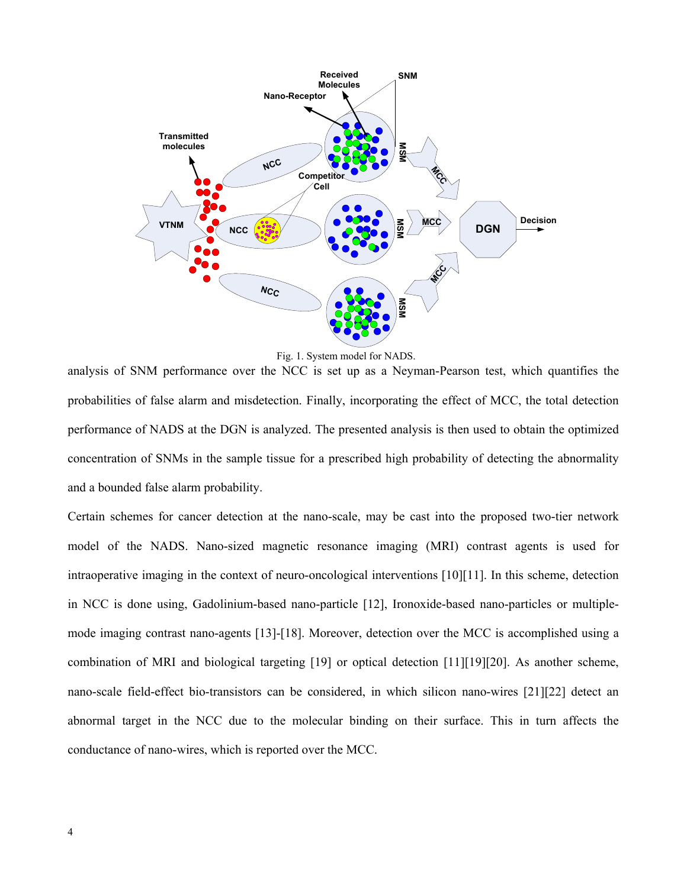

Fig. 1. System model for NADS.

analysis of SNM performance over the NCC is set up as a Neyman-Pearson test, which quantifies the probabilities of false alarm and misdetection. Finally, incorporating the effect of MCC, the total detection performance of NADS at the DGN is analyzed. The presented analysis is then used to obtain the optimized concentration of SNMs in the sample tissue for a prescribed high probability of detecting the abnormality and a bounded false alarm probability.

Certain schemes for cancer detection at the nano-scale, may be cast into the proposed two-tier network model of the NADS. Nano-sized magnetic resonance imaging (MRI) contrast agents is used for intraoperative imaging in the context of neuro-oncological interventions  $[10][11]$ . In this scheme, detection in NCC is done using, Gadolinium-based nano-particle [12], Ironoxide-based nano-particles or multiplemode imaging contrast nano-agents [13]-[18]. Moreover, detection over the MCC is accomplished using a combination of MRI and biological targeting  $[19]$  or optical detection  $[11][19][20]$ . As another scheme, nano-scale field-effect bio-transistors can be considered, in which silicon nano-wires [21][22] detect an abnormal target in the NCC due to the molecular binding on their surface. This in turn affects the conductance of nano-wires, which is reported over the MCC.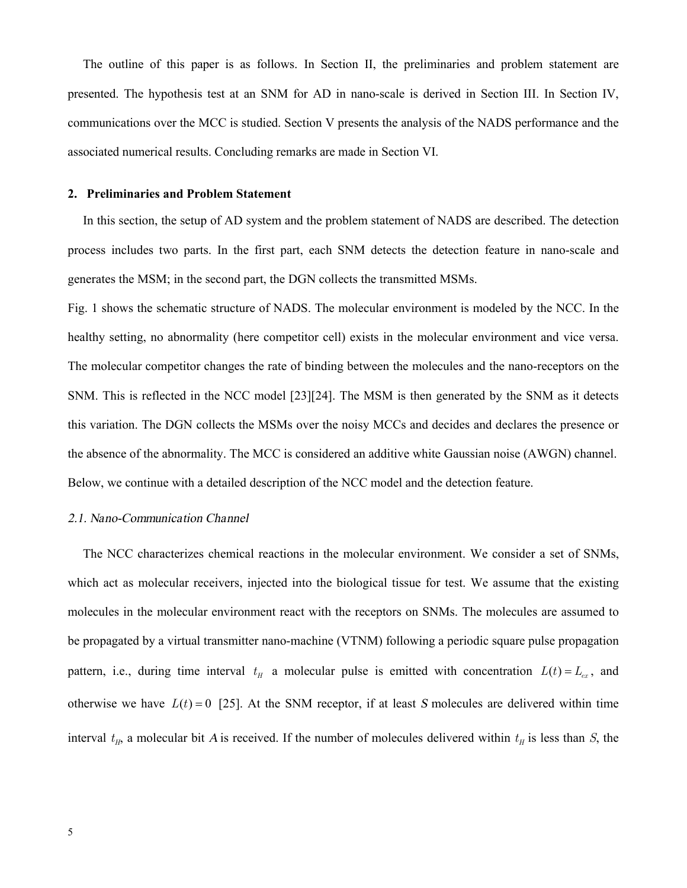The outline of this paper is as follows. In Section II, the preliminaries and problem statement are presented. The hypothesis test at an SNM for AD in nano-scale is derived in Section III. In Section IV, communications over the MCC is studied. Section V presents the analysis of the NADS performance and the associated numerical results. Concluding remarks are made in Section VI.

#### **2. Preliminaries and Problem Statement**

In this section, the setup of AD system and the problem statement of NADS are described. The detection process includes two parts. In the first part, each SNM detects the detection feature in nano-scale and generates the MSM; in the second part, the DGN collects the transmitted MSMs.

Fig. 1 shows the schematic structure of NADS. The molecular environment is modeled by the NCC. In the healthy setting, no abnormality (here competitor cell) exists in the molecular environment and vice versa. The molecular competitor changes the rate of binding between the molecules and the nano-receptors on the SNM. This is reflected in the NCC model [23] [24]. The MSM is then generated by the SNM as it detects this variation. The DGN collects the MSMs over the noisy MCCs and decides and declares the presence or the absence of the abnormality. The MCC is considered an additive white Gaussian noise (AWGN) channel. Below, we continue with a detailed description of the NCC model and the detection feature.

#### *2.1. Nano-Communication Channel*

The NCC characterizes chemical reactions in the molecular environment. We consider a set of SNMs, which act as molecular receivers, injected into the biological tissue for test. We assume that the existing molecules in the molecular environment react with the receptors on SNMs. The molecules are assumed to be propagated by a virtual transmitter nano-machine (VTNM) following a periodic square pulse propagation pattern, i.e., during time interval  $t<sub>H</sub>$  a molecular pulse is emitted with concentration  $L(t) = L_{ex}$ , and otherwise we have  $L(t) = 0$  [25]. At the SNM receptor, if at least *S* molecules are delivered within time interval  $t_H$ , a molecular bit *A* is received. If the number of molecules delivered within  $t_H$  is less than *S*, the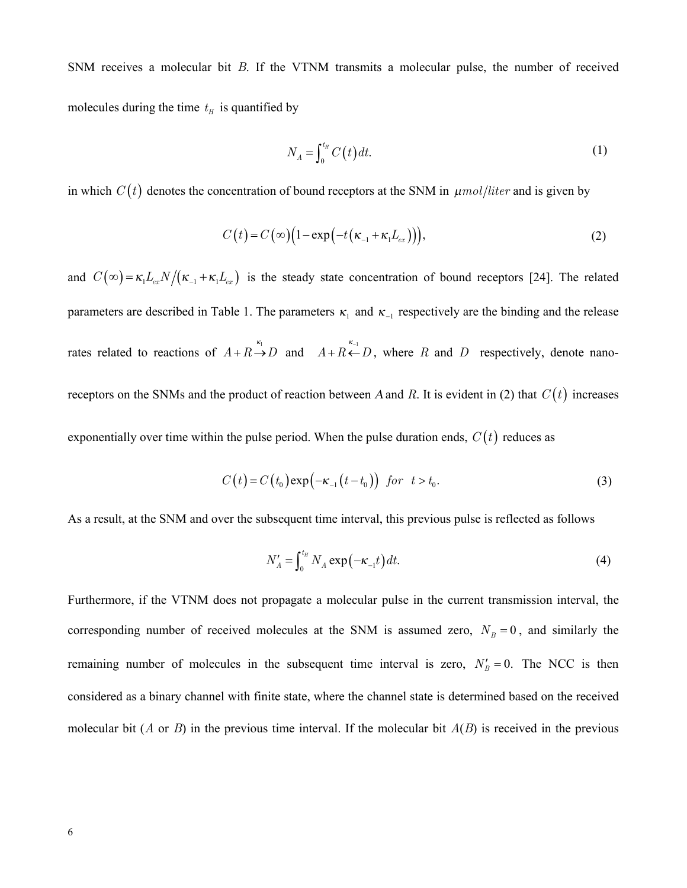SNM receives a molecular bit *B*. If the VTNM transmits a molecular pulse, the number of received molecules during the time  $t<sub>H</sub>$  is quantified by

$$
N_A = \int_0^{t_H} C(t) dt.
$$
 (1)

in which  $C(t)$  denotes the concentration of bound receptors at the SNM in  $\mu$ *mol*/*liter* and is given by

$$
C(t) = C(\infty) \Big( 1 - \exp\Big( -t \big(\kappa_{-1} + \kappa_1 L_{ex}\big) \Big) \Big), \tag{2}
$$

and  $C(\infty) = \kappa_1 L_{ex} N / (\kappa_{-1} + \kappa_1 L_{ex})$  is the steady state concentration of bound receptors [24]. The related parameters are described in Table 1. The parameters  $\kappa_1$  and  $\kappa_{-1}$  respectively are the binding and the release rates related to reactions of  $A + R \rightarrow D$  and  $A + R \leftarrow D$ , where R and D respectively, denote nanoreceptors on the SNMs and the product of reaction between *A* and *R*. It is evident in (2) that  $C(t)$  increases exponentially over time within the pulse period. When the pulse duration ends,  $C(t)$  reduces as

$$
C(t) = C(t_0) \exp\left(-\kappa_{-1}(t - t_0)\right) \quad \text{for} \quad t > t_0. \tag{3}
$$

As a result, at the SNM and over the subsequent time interval, this previous pulse is reflected as follows

$$
N_A' = \int_0^{t_H} N_A \exp(-\kappa_{-1}t) dt.
$$
 (4)

Furthermore, if the VTNM does not propagate a molecular pulse in the current transmission interval, the corresponding number of received molecules at the SNM is assumed zero,  $N_B = 0$ , and similarly the remaining number of molecules in the subsequent time interval is zero,  $N'_B = 0$ . The NCC is then considered as a binary channel with finite state, where the channel state is determined based on the received molecular bit (*A* or *B*) in the previous time interval. If the molecular bit  $A(B)$  is received in the previous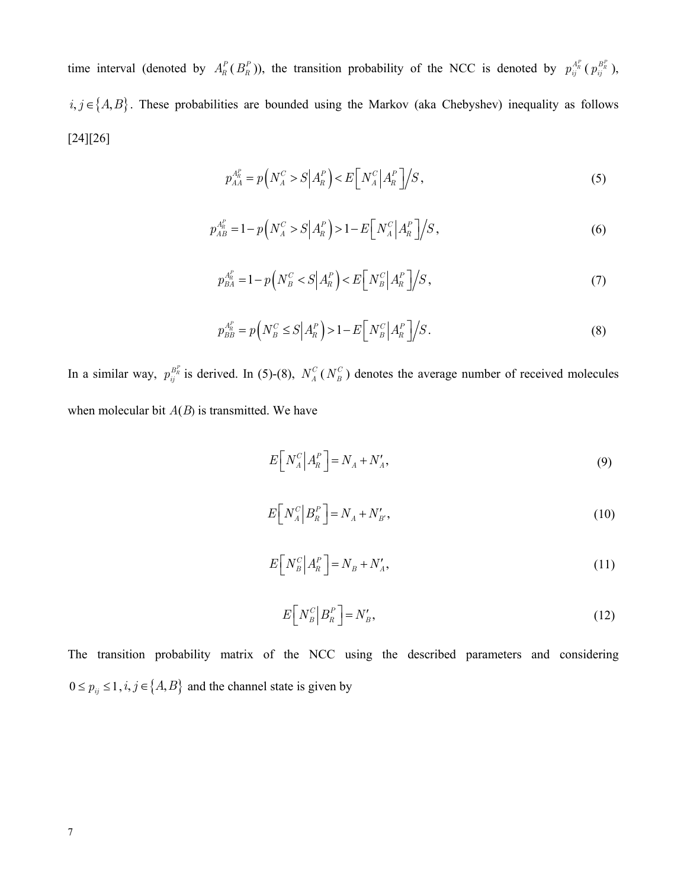time interval (denoted by  $A_R^P(B_R^P)$ ), the transition probability of the NCC is denoted by  $p_{ij}^{A_R^P}(p_{ij}^{B_R^P})$ ,  $i, j \in \{A, B\}$ . These probabilities are bounded using the Markov (aka Chebyshev) inequality as follows  $[24][26]$ 

$$
p_{AA}^{A_R^P} = p\left(N_A^C > S \middle| A_R^P\right) < E\left[N_A^C \middle| A_R^P\right] \middle| S\,,\right.\tag{5}
$$

$$
p_{AB}^{A_R^P} = 1 - p\left(N_A^C > S \middle| A_R^P\right) > 1 - E\left[N_A^C \middle| A_R^P\right] / S\,,\tag{6}
$$

$$
p_{BA}^{A_R^P} = 1 - p\left(N_B^C < S\middle| A_R^P\right) < E\left[N_B^C\middle| A_R^P\right] \middle/S\right),\tag{7}
$$

$$
p_{BB}^{A_R^P} = p\left(N_B^C \le S \middle| A_R^P\right) > 1 - E\left[N_B^C \middle| A_R^P\right] \middle/S\right). \tag{8}
$$

In a similar way,  $p_{ij}^{B_R^p}$  is derived. In (5)-(8),  $N_A^C(N_B^C)$  denotes the average number of received molecules when molecular bit  $A(B)$  is transmitted. We have

$$
E[N_A^C|A_R^P] = N_A + N_A',\tag{9}
$$

$$
E[N_A^C|B_R^P] = N_A + N'_{B'},\tag{10}
$$

$$
E[N_B^C|A_R^P] = N_B + N_A',\tag{11}
$$

$$
E[N_B^C|B_R^P] = N_B',\tag{12}
$$

The transition probability matrix of the NCC using the described parameters and considering  $0 \le p_{ij} \le 1, i, j \in \{A, B\}$  and the channel state is given by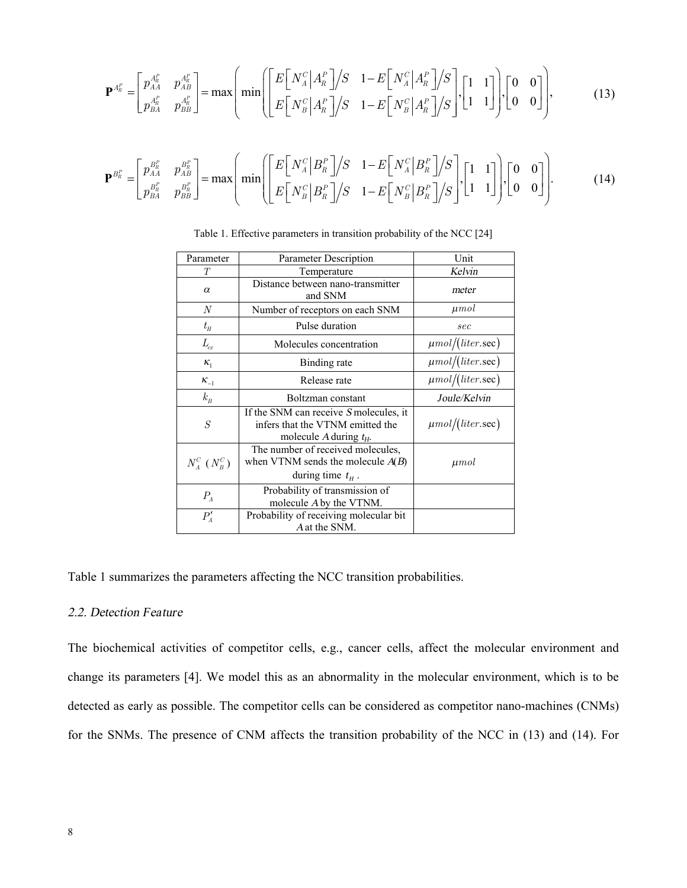$$
\mathbf{P}^{A_R^P} = \begin{bmatrix} p_{AA}^{A_R^P} & p_{AB}^{A_R^P} \\ p_{BA}^{A_R^P} & p_{BB}^{A_R^P} \end{bmatrix} = \max \left( \min \left( \begin{bmatrix} E\begin{bmatrix} N_A^C \end{bmatrix} A_R^P \end{bmatrix} / S & 1 - E\begin{bmatrix} N_A^C \end{bmatrix} A_R^P \end{bmatrix} / S \right), \begin{bmatrix} 1 & 1 \\ 1 & 1 \end{bmatrix}, \begin{bmatrix} 0 & 0 \\ 0 & 0 \end{bmatrix} \right),
$$
(13)

$$
\mathbf{P}^{B_R^P} = \begin{bmatrix} p_{AA}^{B_R^P} & p_{AB}^{B_R^P} \\ p_{BA}^{B_R^P} & p_{BB}^{B_R^P} \end{bmatrix} = \max \left( \min \left( \begin{bmatrix} E\left[ N_A^C | B_R^P \right] / S & 1 - E\left[ N_A^C | B_R^P \right] / S \\ E\left[ N_B^C | B_R^P \right] / S & 1 - E\left[ N_B^C | B_R^P \right] / S \end{bmatrix}, \begin{bmatrix} 1 & 1 \\ 1 & 1 \end{bmatrix}, \begin{bmatrix} 0 & 0 \\ 0 & 0 \end{bmatrix} \right). \tag{14}
$$

| Parameter                    | Parameter Description                                                                                   | Unit                  |  |
|------------------------------|---------------------------------------------------------------------------------------------------------|-----------------------|--|
| T                            | Temperature                                                                                             | Kelvin                |  |
| $\alpha$                     | Distance between nano-transmitter<br>and SNM                                                            | meter                 |  |
| $\boldsymbol{N}$             | Number of receptors on each SNM                                                                         | $\mu$ mol             |  |
| $t_{\scriptscriptstyle H}$   | Pulse duration                                                                                          | sec                   |  |
| $L_{ex}$                     | Molecules concentration                                                                                 | $\mu$ mol/(liter.sec) |  |
| $K_1$                        | Binding rate                                                                                            | $\mu$ mol/(liter.sec) |  |
| $K_{-1}$                     | Release rate                                                                                            | $\mu$ mol/(liter.sec) |  |
| $k_B$                        | Boltzman constant                                                                                       | Joule/Kelvin          |  |
| $\cal S$                     | If the SNM can receive S molecules, it<br>infers that the VTNM emitted the<br>molecule A during $t_H$ . | $\mu$ mol/(liter.sec) |  |
| $N_a^C$ ( $N_B^C$ )          | The number of received molecules,<br>when VTNM sends the molecule $A(B)$<br>during time $t_{H}$ .       | $\mu$ <i>mol</i>      |  |
| $P_{A}$                      | Probability of transmission of<br>molecule A by the VTNM.                                               |                       |  |
| $P'_{\scriptscriptstyle{A}}$ | Probability of receiving molecular bit<br>A at the SNM.                                                 |                       |  |

Table 1. Effective parameters in transition probability of the NCC [24]

Table 1 summarizes the parameters affecting the NCC transition probabilities.

# *2.2. Detection Feature*

The biochemical activities of competitor cells, e.g., cancer cells, affect the molecular environment and change its parameters [4]. We model this as an abnormality in the molecular environment, which is to be detected as early as possible. The competitor cells can be considered as competitor nano-machines (CNMs) for the SNMs. The presence of CNM affects the transition probability of the NCC in (13) and (14). For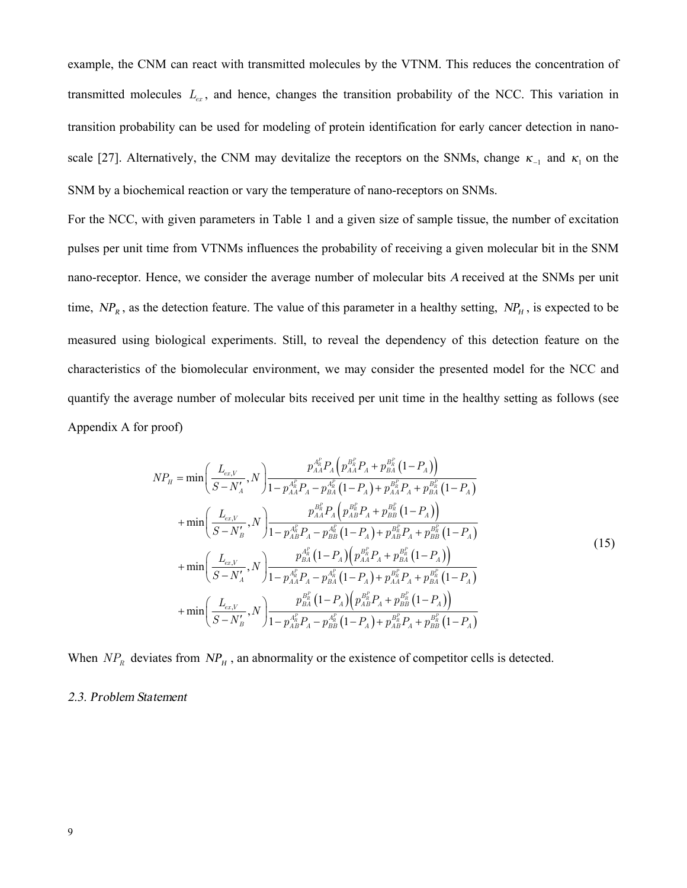example, the CNM can react with transmitted molecules by the VTNM. This reduces the concentration of transmitted molecules *Lex* , and hence, changes the transition probability of the NCC. This variation in transition probability can be used for modeling of protein identification for early cancer detection in nanoscale [27]. Alternatively, the CNM may devitalize the receptors on the SNMs, change  $\kappa_{-1}$  and  $\kappa_1$  on the SNM by a biochemical reaction or vary the temperature of nano-receptors on SNMs.

For the NCC, with given parameters in Table 1 and a given size of sample tissue, the number of excitation pulses per unit time from VTNMs influences the probability of receiving a given molecular bit in the SNM nano-receptor. Hence, we consider the average number of molecular bits *<sup>A</sup>* received at the SNMs per unit time,  $NP<sub>R</sub>$ , as the detection feature. The value of this parameter in a healthy setting,  $NP<sub>H</sub>$ , is expected to be measured using biological experiments. Still, to reveal the dependency of this detection feature on the characteristics of the biomolecular environment, we may consider the presented model for the NCC and quantify the average number of molecular bits received per unit time in the healthy setting as follows (see Appendix A for proof)

$$
NP_{H} = \min\left(\frac{L_{ex,V}}{S - N_{A}'} , N\right) \frac{p_{AA}^{A_{R}} P_{A} \left(p_{AA}^{B_{R}^{P}} P_{A} + p_{BA}^{B_{R}^{P}} \left(1 - P_{A}\right)\right)}{1 - p_{AA}^{A_{R}^{P}} P_{A} - p_{BA}^{A_{R}^{P}} \left(1 - P_{A}\right) + p_{AA}^{B_{R}^{P}} P_{A} + p_{BA}^{B_{R}^{P}} \left(1 - P_{A}\right)}
$$
  
+ 
$$
\min\left(\frac{L_{ex,V}}{S - N_{B}'}, N\right) \frac{p_{AA}^{B_{R}} P_{A} \left(p_{AB}^{B_{R}} P_{A} + p_{BB}^{B_{R}^{P}} \left(1 - P_{A}\right)\right)}{1 - p_{AB}^{A_{R}^{P}} P_{A} - p_{AB}^{A_{R}^{P}} \left(1 - P_{A}\right) + p_{AB}^{B_{R}^{P}} P_{A} + p_{BB}^{B_{R}^{P}} \left(1 - P_{A}\right)}
$$
  
+ 
$$
\min\left(\frac{L_{ex,V}}{S - N_{A}'}, N\right) \frac{p_{BA}^{A_{R}^{P}} \left(1 - P_{A}\right) \left(p_{AA}^{B_{R}^{P}} P_{A} + p_{BA}^{B_{R}^{P}} \left(1 - P_{A}\right)\right)}{1 - p_{AA}^{A_{R}^{P}} P_{A} - p_{BA}^{A_{R}^{P}} \left(1 - P_{A}\right) + p_{AA}^{B_{R}^{P}} P_{A} + p_{BA}^{B_{R}^{P}} \left(1 - P_{A}\right)}
$$
  
+ 
$$
\min\left(\frac{L_{ex,V}}{S - N_{B}'}, N\right) \frac{p_{BA}^{B_{R}^{P}} \left(1 - P_{A}\right) \left(p_{AB}^{B_{R}^{P}} P_{A} + p_{BB}^{B_{R}^{P}} \left(1 - P_{A}\right)\right)}{1 - p_{AB}^{A_{R}^{P}} P_{A} - p_{BB}^{A_{R}^{P}} \left(1 - P_{A}\right) + p_{AB}^{B_{R}^{P}} P_{A} + p_{BB}^{B_{R}^{P}} \left(1 - P_{A}\right)}
$$
(1-

When  $NP<sub>R</sub>$  deviates from  $NP<sub>H</sub>$ , an abnormality or the existence of competitor cells is detected.

#### *2.3. Problem Statement*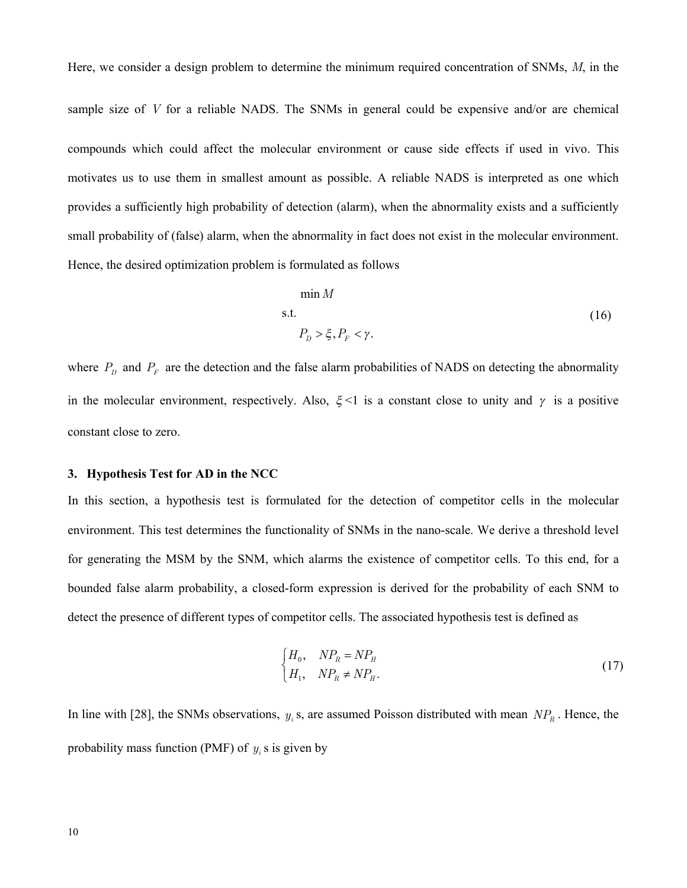Here, we consider a design problem to determine the minimum required concentration of SNMs, *M*, in the sample size of *V* for a reliable NADS. The SNMs in general could be expensive and/or are chemical compounds which could affect the molecular environment or cause side effects if used in vivo. This motivates us to use them in smallest amount as possible. A reliable NADS is interpreted as one which provides a sufficiently high probability of detection (alarm), when the abnormality exists and a sufficiently small probability of (false) alarm, when the abnormality in fact does not exist in the molecular environment. Hence, the desired optimization problem is formulated as follows

$$
\min M
$$
  
s.t.  

$$
P_D > \xi, P_F < \gamma.
$$
 (16)

where  $P_D$  and  $P_F$  are the detection and the false alarm probabilities of NADS on detecting the abnormality in the molecular environment, respectively. Also,  $\xi$ <1 is a constant close to unity and  $\gamma$  is a positive constant close to zero.

#### **3. Hypothesis Test for AD in the NCC**

In this section, a hypothesis test is formulated for the detection of competitor cells in the molecular environment. This test determines the functionality of SNMs in the nano-scale. We derive a threshold level for generating the MSM by the SNM, which alarms the existence of competitor cells. To this end, for a bounded false alarm probability, a closed-form expression is derived for the probability of each SNM to detect the presence of different types of competitor cells. The associated hypothesis test is defined as

$$
\begin{cases}\nH_0, & NP_R = NP_H \\
H_1, & NP_R \neq NP_H.\n\end{cases} \tag{17}
$$

In line with [28], the SNMs observations,  $y_i$  s, are assumed Poisson distributed with mean  $NP_R$ . Hence, the probability mass function (PMF) of  $y_i$  s is given by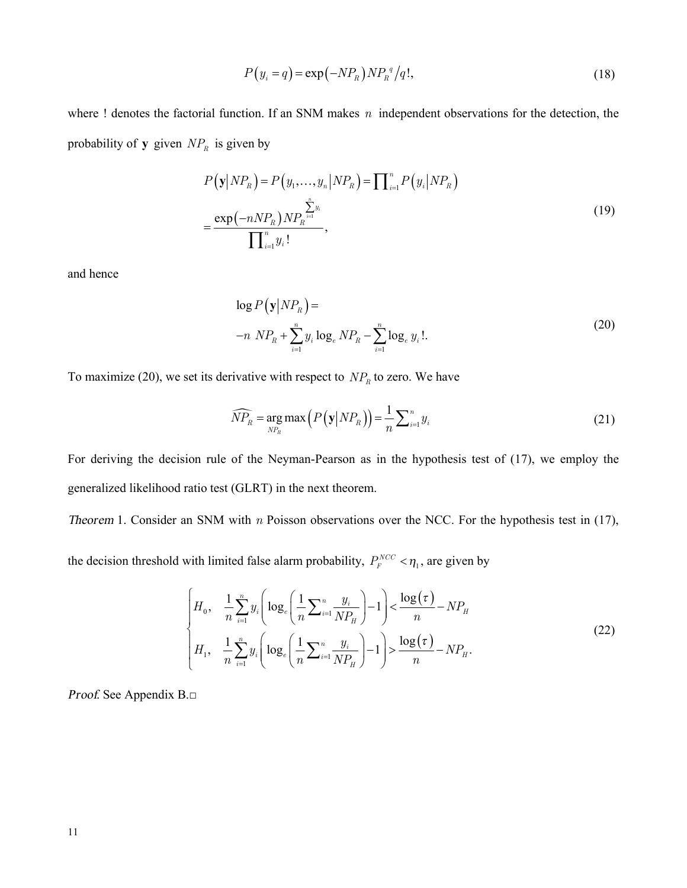$$
P(y_i = q) = \exp(-NP_R) NP_R^q / q!, \qquad (18)
$$

where ! denotes the factorial function. If an SNM makes *n* independent observations for the detection, the probability of **y** given  $NP<sub>R</sub>$  is given by

$$
P(\mathbf{y}|NP_R) = P(y_1,...,y_n|NP_R) = \prod_{i=1}^n P(y_i|NP_R)
$$
  
= 
$$
\frac{\exp(-nNP_R)NP_R^{\sum_{i=1}^n y_i}}{\prod_{i=1}^n y_i!},
$$
 (19)

and hence

$$
\log P(\mathbf{y}|NP_R) =
$$
  
-n NP<sub>R</sub> +  $\sum_{i=1}^{n} y_i \log_e NP_R - \sum_{i=1}^{n} \log_e y_i!$ . (20)

To maximize (20), we set its derivative with respect to  $NP<sub>R</sub>$  to zero. We have

$$
\widehat{NP}_R = \underset{NP_R}{\arg \max} \left( P\left(\mathbf{y} \middle| NP_R\right) \right) = \frac{1}{n} \sum_{i=1}^n y_i \tag{21}
$$

For deriving the decision rule of the Neyman-Pearson as in the hypothesis test of (17), we employ the generalized likelihood ratio test (GLRT) in the next theorem.

*Theorem 1.* Consider an SNM with *n* Poisson observations over the NCC. For the hypothesis test in (17),

the decision threshold with limited false alarm probability,  $P_F^{NCC} < \eta_1$ , are given by

$$
\begin{cases}\nH_0, & \frac{1}{n} \sum_{i=1}^n y_i \left( \log_e \left( \frac{1}{n} \sum_{i=1}^n \frac{y_i}{NP_H} \right) - 1 \right) < \frac{\log(\tau)}{n} - NP_H \\
H_1, & \frac{1}{n} \sum_{i=1}^n y_i \left( \log_e \left( \frac{1}{n} \sum_{i=1}^n \frac{y_i}{NP_H} \right) - 1 \right) > \frac{\log(\tau)}{n} - NP_H.\n\end{cases} \tag{22}
$$

*Proof*. See Appendix B.□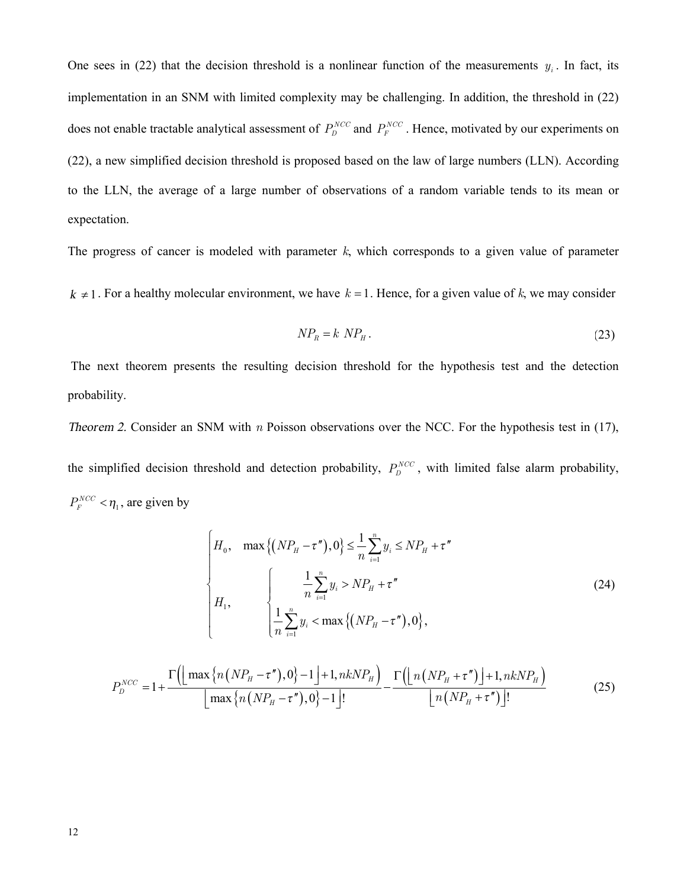One sees in (22) that the decision threshold is a nonlinear function of the measurements  $y_i$ . In fact, its implementation in an SNM with limited complexity may be challenging. In addition, the threshold in (22) does not enable tractable analytical assessment of  $P_D^{NCC}$  and  $P_F^{NCC}$ . Hence, motivated by our experiments on (22), a new simplified decision threshold is proposed based on the law of large numbers (LLN). According to the LLN, the average of a large number of observations of a random variable tends to its mean or expectation.

The progress of cancer is modeled with parameter  $k$ , which corresponds to a given value of parameter

 $k \neq 1$ . For a healthy molecular environment, we have  $k = 1$ . Hence, for a given value of k, we may consider

$$
NP_R = k NP_H. \tag{23}
$$

The next theorem presents the resulting decision threshold for the hypothesis test and the detection probability.

Theorem 2. Consider an SNM with  $n$  Poisson observations over the NCC. For the hypothesis test in (17), the simplified decision threshold and detection probability,  $P_D^{NCC}$ , with limited false alarm probability,  $P_F^{NCC} < \eta_1$ , are given by

$$
\begin{cases}\nH_0, & \max\left\{ (NP_H - \tau''), 0 \right\} \le \frac{1}{n} \sum_{i=1}^n y_i \le NP_H + \tau'' \\
\downarrow H_1, & \begin{cases}\n\frac{1}{n} \sum_{i=1}^n y_i > NP_H + \tau'' \\
\frac{1}{n} \sum_{i=1}^n y_i < \max\left\{ (NP_H - \tau''), 0 \right\},\n\end{cases}\n\end{cases}\n\tag{24}
$$

$$
P_D^{NCC} = 1 + \frac{\Gamma\left(\left\lfloor \max\left\{n\left(NP_H - \tau''\right), 0\right\} - 1\right\rfloor + 1, nkNP_H\right)}{\left\lfloor \max\left\{n\left(NP_H - \tau''\right), 0\right\} - 1\right\rfloor!} - \frac{\Gamma\left(\left\lfloor n\left(NP_H + \tau''\right)\right\rfloor + 1, nkNP_H\right)}{\left\lfloor n\left(NP_H + \tau''\right)\right\rfloor!} \tag{25}
$$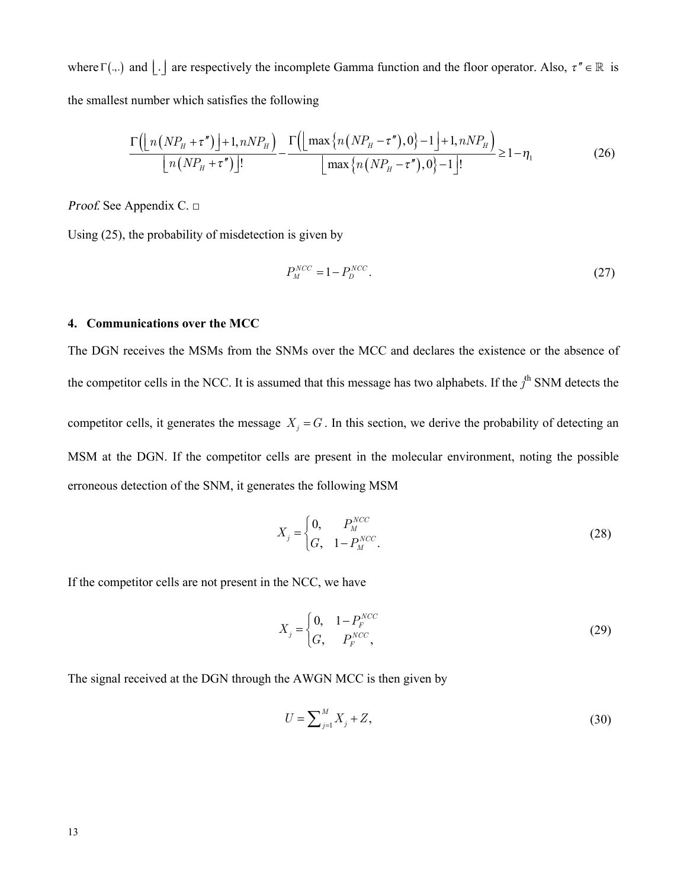where  $\Gamma$ (...) and  $| \cdot |$  are respectively the incomplete Gamma function and the floor operator. Also,  $\tau'' \in \mathbb{R}$  is the smallest number which satisfies the following

$$
\frac{\Gamma\left(\left\lfloor n\left(NP_{H}+\tau^{n}\right)\right\rfloor+1,nNP_{H}\right)}{\left\lfloor n\left(NP_{H}+\tau^{n}\right)\right\rfloor!}-\frac{\Gamma\left(\left\lfloor \max\left\{ n\left(NP_{H}-\tau^{n}\right),0\right\}-1\right\rfloor+1,nNP_{H}\right)}{\left\lfloor \max\left\{ n\left(NP_{H}-\tau^{n}\right),0\right\}-1\right\rfloor!}\geq1-\eta_{1}\tag{26}
$$

*Proof.* See Appendix  $C \square$ 

Using  $(25)$ , the probability of misdetection is given by

$$
P_N^{NCC} = 1 - P_D^{NCC}.\tag{27}
$$

#### 4. Communications over the MCC

The DGN receives the MSMs from the SNMs over the MCC and declares the existence or the absence of the competitor cells in the NCC. It is assumed that this message has two alphabets. If the  $j^{\text{th}}$  SNM detects the competitor cells, it generates the message  $X_j = G$ . In this section, we derive the probability of detecting an MSM at the DGN. If the competitor cells are present in the molecular environment, noting the possible erroneous detection of the SNM, it generates the following MSM

$$
X_{j} = \begin{cases} 0, & P_{M}^{NCC} \\ G, & 1 - P_{M}^{NCC} \end{cases}
$$
 (28)

If the competitor cells are not present in the NCC, we have

$$
X_j = \begin{cases} 0, & 1 - P_F^{NCC} \\ G, & P_F^{NCC} \end{cases} \tag{29}
$$

The signal received at the DGN through the AWGN MCC is then given by

$$
U = \sum_{j=1}^{M} X_j + Z,\tag{30}
$$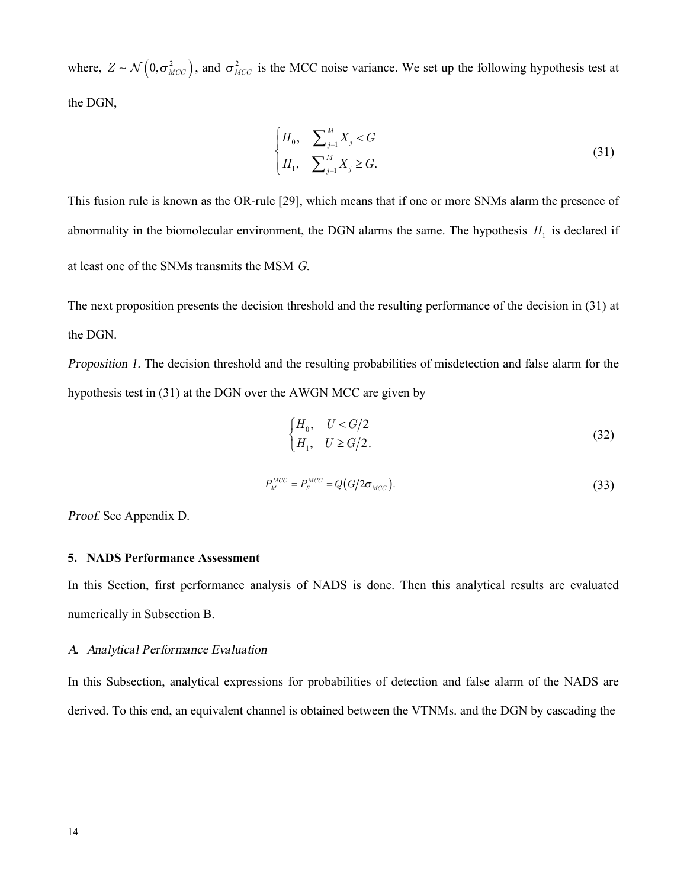where,  $Z \sim \mathcal{N}\left(0, \sigma_{MCC}^2\right)$ , and  $\sigma_{MCC}^2$  is the MCC noise variance. We set up the following hypothesis test at the DGN,

$$
\begin{cases} H_0, & \sum_{j=1}^M X_j < G \\ H_1, & \sum_{j=1}^M X_j \ge G. \end{cases} \tag{31}
$$

This fusion rule is known as the OR-rule [29], which means that if one or more SNMs alarm the presence of abnormality in the biomolecular environment, the DGN alarms the same. The hypothesis  $H_1$  is declared if at least one of the SNMs transmits the MSM *G*.

The next proposition presents the decision threshold and the resulting performance of the decision in (31) at the DGN.

*Proposition 1.* The decision threshold and the resulting probabilities of misdetection and false alarm for the hypothesis test in (31) at the DGN over the AWGN MCC are given by

$$
\begin{cases}\nH_0, & U < G/2 \\
H_1, & U \ge G/2.\n\end{cases} \tag{32}
$$

$$
P_M^{MCC} = P_F^{MCC} = Q\big(G/2\sigma_{MCC}\big). \tag{33}
$$

*Proof*. See Appendix D.

# **5. NADS Performance Assessment**

In this Section, first performance analysis of NADS is done. Then this analytical results are evaluated numerically in Subsection B.

#### *A. Analytical Performance Evaluation*

In this Subsection, analytical expressions for probabilities of detection and false alarm of the NADS are derived. To this end, an equivalent channel is obtained between the VTNMs. and the DGN by cascading the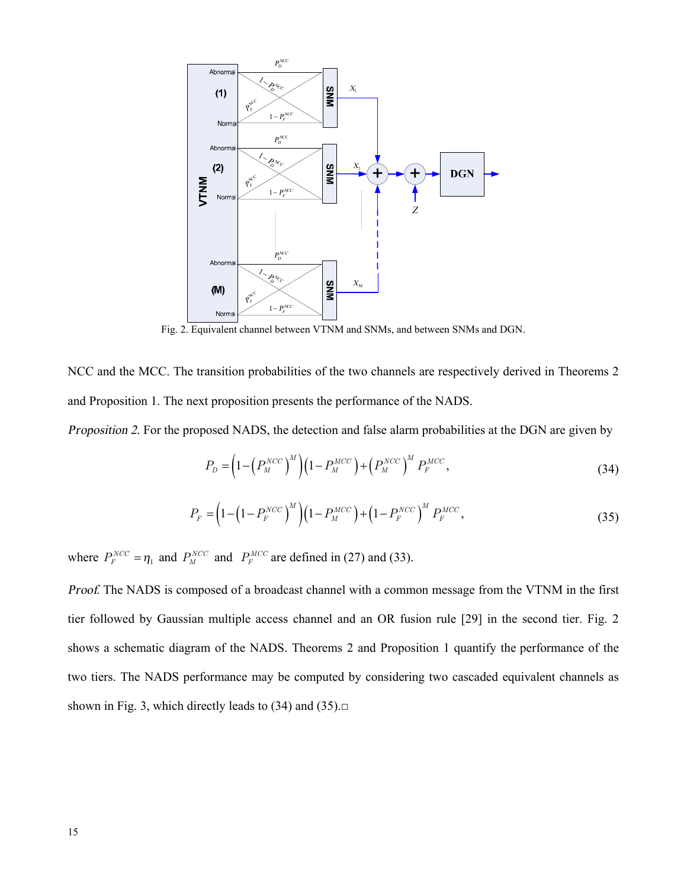

Fig. 2. Equivalent channel between VTNM and SNMs, and between SNMs and DGN.

NCC and the MCC. The transition probabilities of the two channels are respectively derived in Theorems 2 and Proposition 1. The next proposition presents the performance of the NADS*.*

*Proposition 2*. For the proposed NADS, the detection and false alarm probabilities at the DGN are given by

$$
P_D = \left(1 - \left(P_M^{NCC}\right)^M\right) \left(1 - P_M^{MCC}\right) + \left(P_M^{NCC}\right)^M P_F^{MCC},\tag{34}
$$

$$
P_F = \left(1 - \left(1 - P_F^{NCC}\right)^M\right)\left(1 - P_M^{MCC}\right) + \left(1 - P_F^{NCC}\right)^M P_F^{MCC},\tag{35}
$$

where  $P_F^{NCC} = \eta_1$  and  $P_M^{NCC}$  and  $P_F^{MCC}$  are defined in (27) and (33).

*Proof.* The NADS is composed of a broadcast channel with a common message from the VTNM in the first tier followed by Gaussian multiple access channel and an OR fusion rule [29] in the second tier. Fig. 2 shows a schematic diagram of the NADS. Theorems 2 and Proposition 1 quantify the performance of the two tiers. The NADS performance may be computed by considering two cascaded equivalent channels as shown in Fig. 3, which directly leads to  $(34)$  and  $(35)$ . $\Box$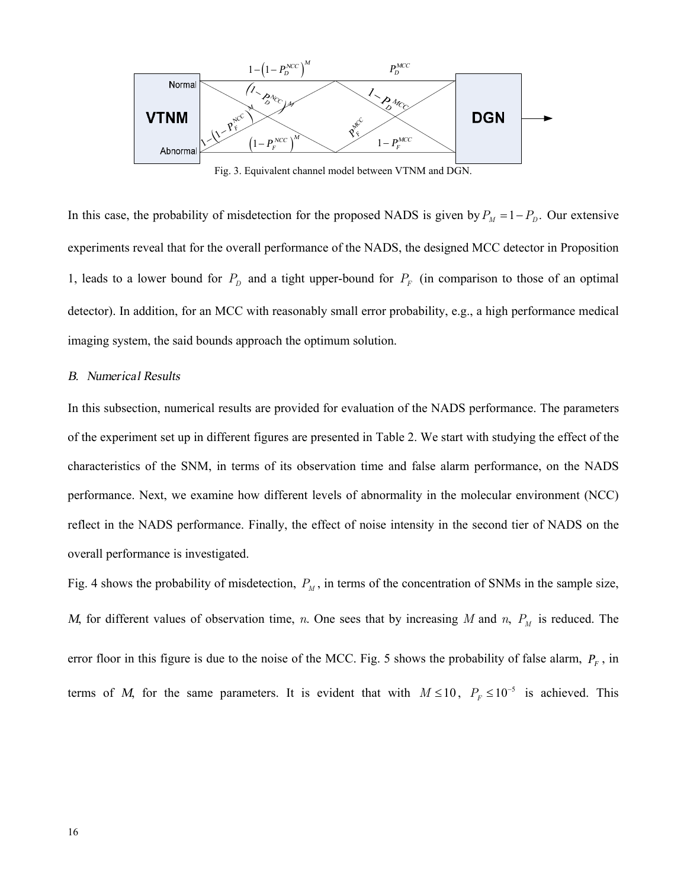

Fig. 3. Equivalent channel model between VTNM and DGN.

In this case, the probability of misdetection for the proposed NADS is given by  $P_M = 1 - P_D$ . Our extensive experiments reveal that for the overall performance of the NADS, the designed MCC detector in Proposition 1, leads to a lower bound for  $P<sub>D</sub>$  and a tight upper-bound for  $P<sub>F</sub>$  (in comparison to those of an optimal detector). In addition, for an MCC with reasonably small error probability, e.g., a high performance medical imaging system, the said bounds approach the optimum solution.

#### *B. Numerical Results*

In this subsection, numerical results are provided for evaluation of the NADS performance. The parameters of the experiment set up in different figures are presented in Table 2. We start with studying the effect of the characteristics of the SNM, in terms of its observation time and false alarm performance, on the NADS performance. Next, we examine how different levels of abnormality in the molecular environment (NCC) reflect in the NADS performance. Finally, the effect of noise intensity in the second tier of NADS on the overall performance is investigated.

Fig. 4 shows the probability of misdetection,  $P_M$ , in terms of the concentration of SNMs in the sample size, *M*, for different values of observation time, *n*. One sees that by increasing *M* and *n*,  $P_M$  is reduced. The error floor in this figure is due to the noise of the MCC. Fig. 5 shows the probability of false alarm,  $P_F$ , in terms of *M*, for the same parameters. It is evident that with  $M \le 10$ ,  $P_F \le 10^{-5}$  is achieved. This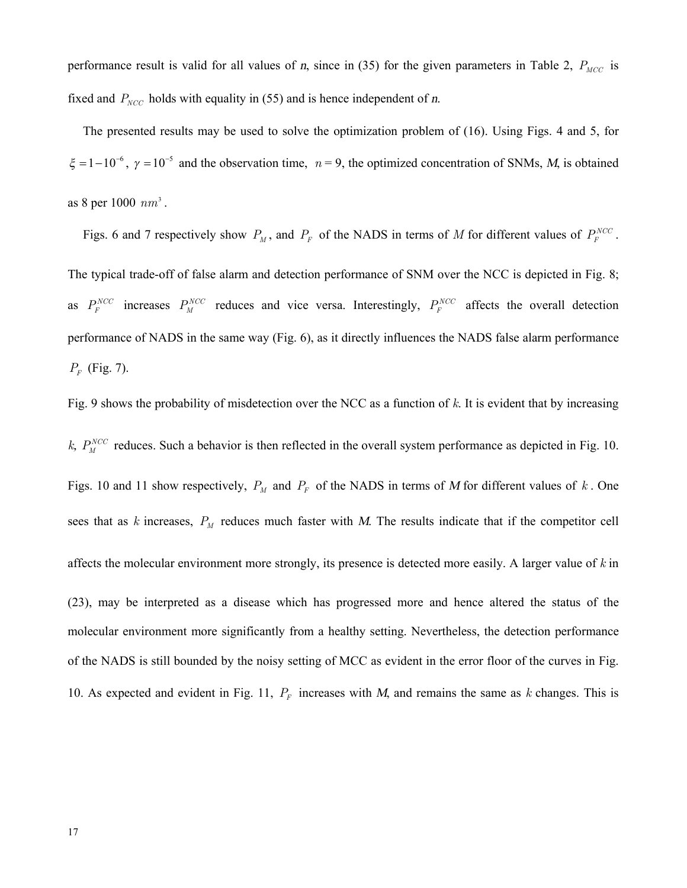performance result is valid for all values of *n*, since in (35) for the given parameters in Table 2,  $P_{MCC}$  is fixed and  $P_{NCC}$  holds with equality in (55) and is hence independent of *n*.

The presented results may be used to solve the optimization problem of (16). Using Figs. 4 and 5, for  $\xi = 1 - 10^{-6}$ ,  $\gamma = 10^{-5}$  and the observation time,  $n = 9$ , the optimized concentration of SNMs, *M*, is obtained as 8 per 1000  $nm^3$ .

Figs. 6 and 7 respectively show  $P_M$ , and  $P_F$  of the NADS in terms of *M* for different values of  $P_F^{NCC}$ . The typical trade-off of false alarm and detection performance of SNM over the NCC is depicted in Fig. 8; as  $P_F^{NCC}$  increases  $P_M^{NCC}$  reduces and vice versa. Interestingly,  $P_F^{NCC}$  affects the overall detection performance of NADS in the same way (Fig. 6), as it directly influences the NADS false alarm performance  $P_F$  (Fig. 7).

Fig. 9 shows the probability of misdetection over the NCC as a function of *k*. It is evident that by increasing *k*,  $P_M^{NCC}$  reduces. Such a behavior is then reflected in the overall system performance as depicted in Fig. 10. Figs. 10 and 11 show respectively,  $P_M$  and  $P_F$  of the NADS in terms of *M* for different values of *k*. One sees that as  $k$  increases,  $P_M$  reduces much faster with  $M$ . The results indicate that if the competitor cell affects the molecular environment more strongly, its presence is detected more easily. A larger value of *k* in (23), may be interpreted as a disease which has progressed more and hence altered the status of the molecular environment more significantly from a healthy setting. Nevertheless, the detection performance of the NADS is still bounded by the noisy setting of MCC as evident in the error floor of the curves in Fig. 10. As expected and evident in Fig. 11, *P<sup>F</sup>* increases with *M*, and remains the same as *k* changes. This is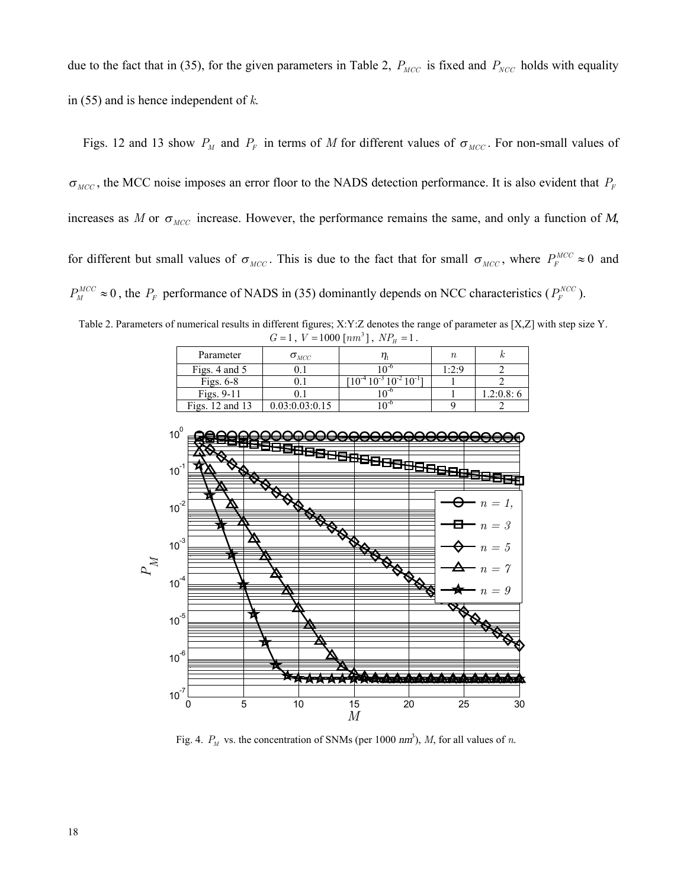due to the fact that in (35), for the given parameters in Table 2,  $P_{MCC}$  is fixed and  $P_{NCC}$  holds with equality in (55) and is hence independent of *k*.

Figs. 12 and 13 show  $P_M$  and  $P_F$  in terms of *M* for different values of  $\sigma_{MCC}$ . For non-small values of  $\sigma_{MCC}$ , the MCC noise imposes an error floor to the NADS detection performance. It is also evident that  $P_F$ increases as *M* or  $\sigma_{MCC}$  increase. However, the performance remains the same, and only a function of *M*, for different but small values of  $\sigma_{MCC}$ . This is due to the fact that for small  $\sigma_{MCC}$ , where  $P_F^{MCC} \approx 0$  and  $P_M^{MCC} \approx 0$ , the  $P_F$  performance of NADS in (35) dominantly depends on NCC characteristics ( $P_F^{NCC}$ ).

Table 2. Parameters of numerical results in different figures; X:Y:Z denotes the range of parameter as [X,Z] with step size Y.  $G = 1$ ,  $V = 1000$  [ $nm^3$ ],  $NP<sub>H</sub> = 1$ .

| Parameter       | $\sigma_{_{MCC}}$ |                   | $\, n$ |           |
|-----------------|-------------------|-------------------|--------|-----------|
| Figs. 4 and 5   |                   | $\bigcap$ -0      | 1:2:9  |           |
| Figs. $6-8$     |                   | $10^{-2} 10^{-1}$ |        |           |
| Figs. $9-11$    |                   |                   |        | 1.2:0.8:6 |
| Figs. 12 and 13 | 0.03:0.03:0.15    |                   |        |           |
|                 |                   |                   |        |           |



Fig. 4.  $P_M$  vs. the concentration of SNMs (per 1000  $nm^3$ ), *M*, for all values of *n*.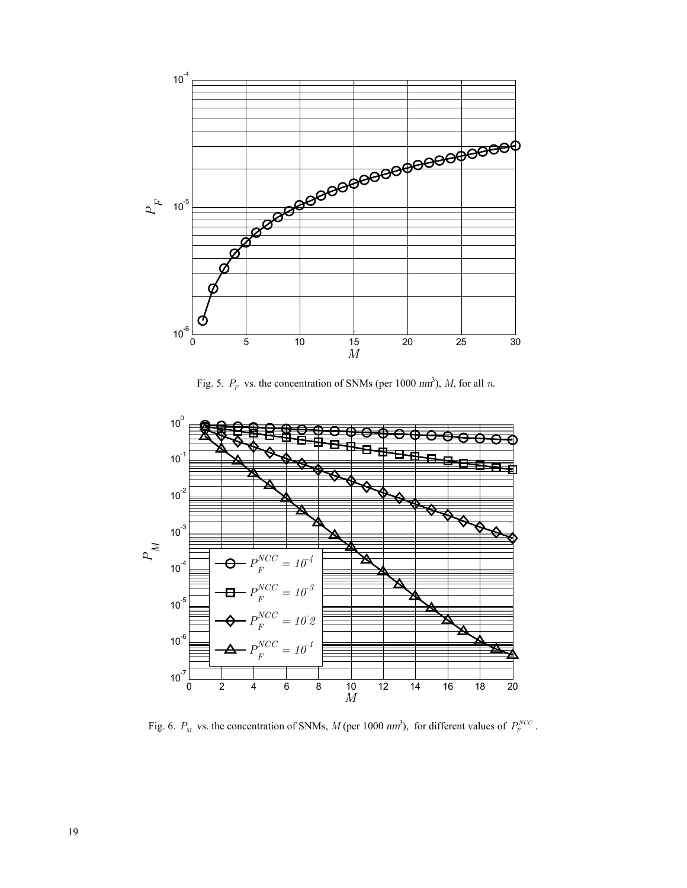

Fig. 5.  $P_F$  vs. the concentration of SNMs (per 1000  $nm^3$ ), *M*, for all *n*.



Fig. 6.  $P_M$  vs. the concentration of SNMs,  $M$  (per 1000  $nm^3$ ), for different values of  $P_F^{NCC}$ .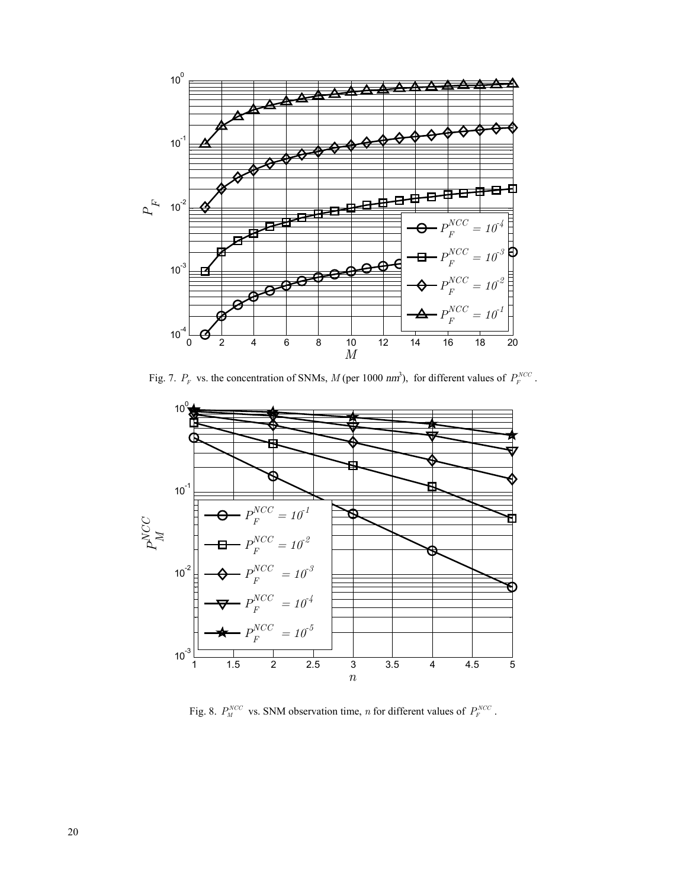

Fig. 7.  $P_F$  vs. the concentration of SNMs, *M* (per 1000 *nm*<sup>3</sup>), for different values of  $P_F^{NCC}$ .



Fig. 8.  $P_N^{NCC}$  vs. SNM observation time, *n* for different values of  $P_F^{NCC}$ .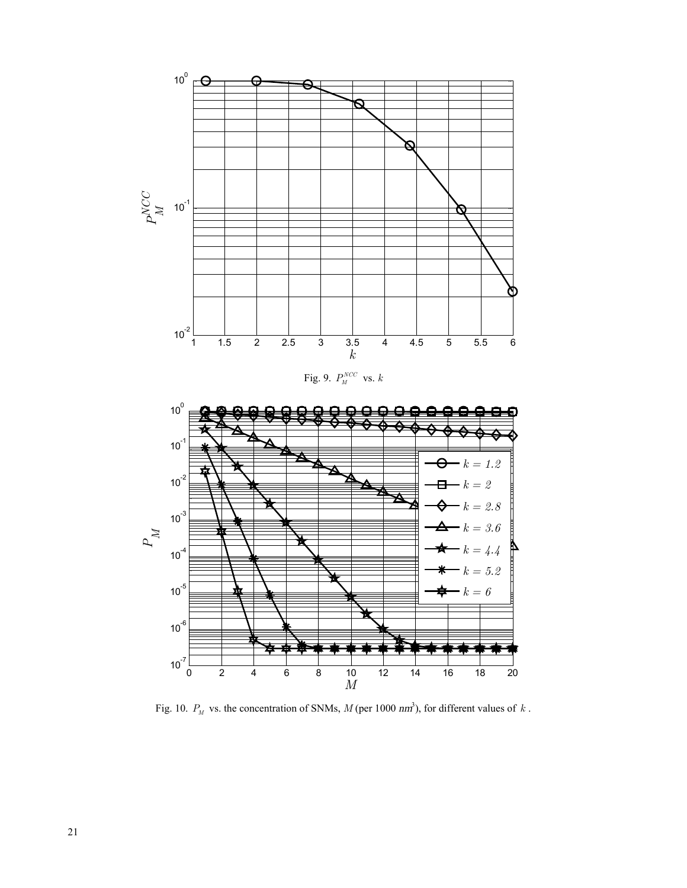

Fig. 10.  $P_M$  vs. the concentration of SNMs,  $M$  (per 1000  $nm^3$ ), for different values of  $k$ .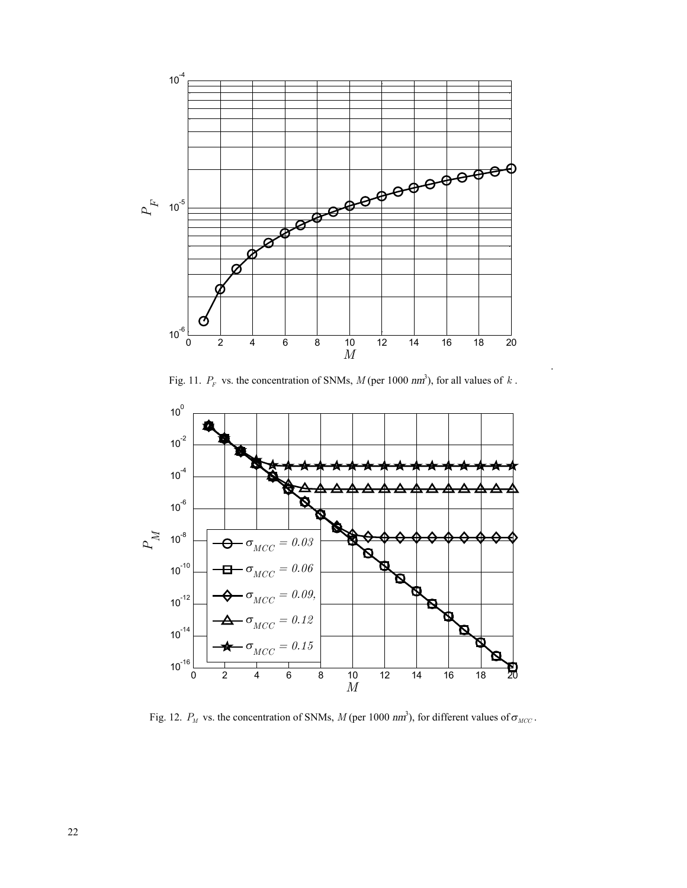

Fig. 11.  $P_F$  vs. the concentration of SNMs,  $M$  (per 1000  $nm^3$ ), for all values of  $k$ .

.



Fig. 12.  $P_M$  vs. the concentration of SNMs, *M* (per 1000 *nm*<sup>2</sup>), for different values of  $\sigma_{MCC}$ .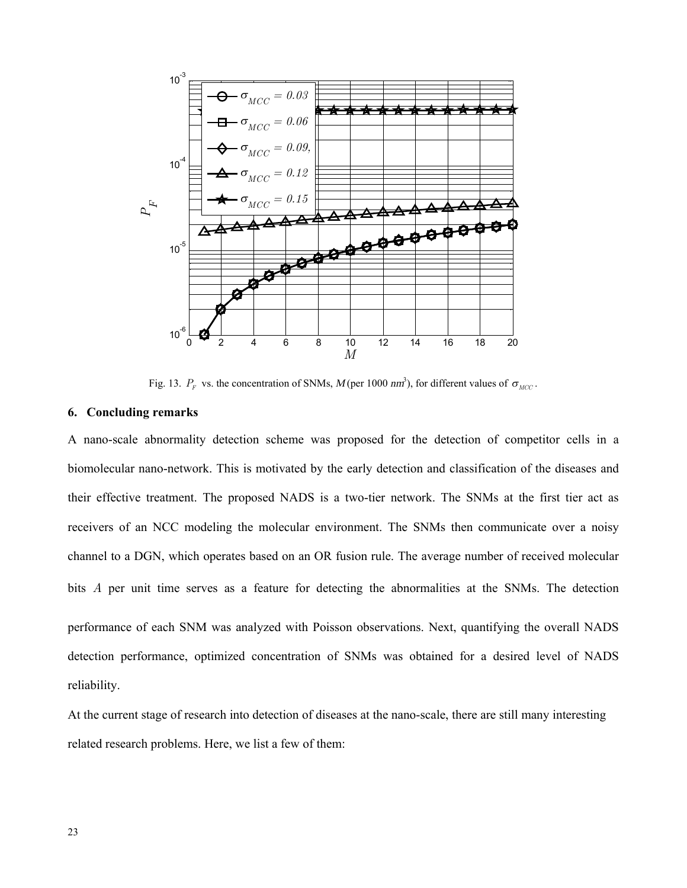

Fig. 13.  $P_F$  vs. the concentration of SNMs,  $M$  (per 1000  $nm^3$ ), for different values of  $\sigma_{MCC}$ .

#### **6. Concluding remarks**

A nano-scale abnormality detection scheme was proposed for the detection of competitor cells in a biomolecular nano-network. This is motivated by the early detection and classification of the diseases and their effective treatment. The proposed NADS is a two-tier network. The SNMs at the first tier act as receivers of an NCC modeling the molecular environment. The SNMs then communicate over a noisy channel to a DGN, which operates based on an OR fusion rule. The average number of received molecular bits *A* per unit time serves as a feature for detecting the abnormalities at the SNMs. The detection performance of each SNM was analyzed with Poisson observations. Next, quantifying the overall NADS detection performance, optimized concentration of SNMs was obtained for a desired level of NADS

reliability.

At the current stage of research into detection of diseases at the nano-scale, there are still many interesting related research problems. Here, we list a few of them: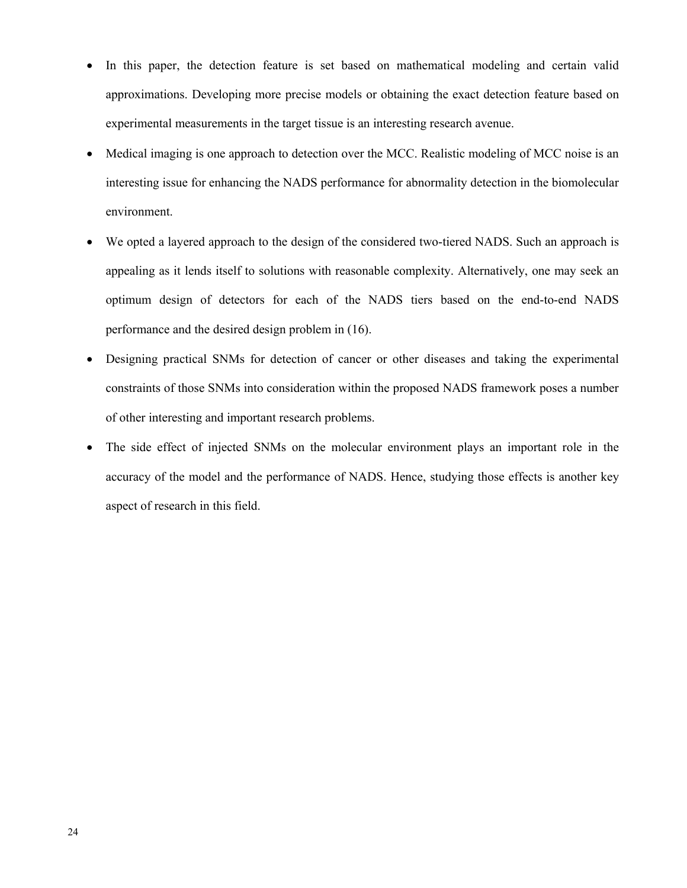- In this paper, the detection feature is set based on mathematical modeling and certain valid approximations. Developing more precise models or obtaining the exact detection feature based on experimental measurements in the target tissue is an interesting research avenue.
- Medical imaging is one approach to detection over the MCC. Realistic modeling of MCC noise is an interesting issue for enhancing the NADS performance for abnormality detection in the biomolecular environment.
- We opted a layered approach to the design of the considered two-tiered NADS. Such an approach is appealing as it lends itself to solutions with reasonable complexity. Alternatively, one may seek an optimum design of detectors for each of the NADS tiers based on the end-to-end NADS performance and the desired design problem in (16).
- · Designing practical SNMs for detection of cancer or other diseases and taking the experimental constraints of those SNMs into consideration within the proposed NADS framework poses a number of other interesting and important research problems.
- · The side effect of injected SNMs on the molecular environment plays an important role in the accuracy of the model and the performance of NADS. Hence, studying those effects is another key aspect of research in this field.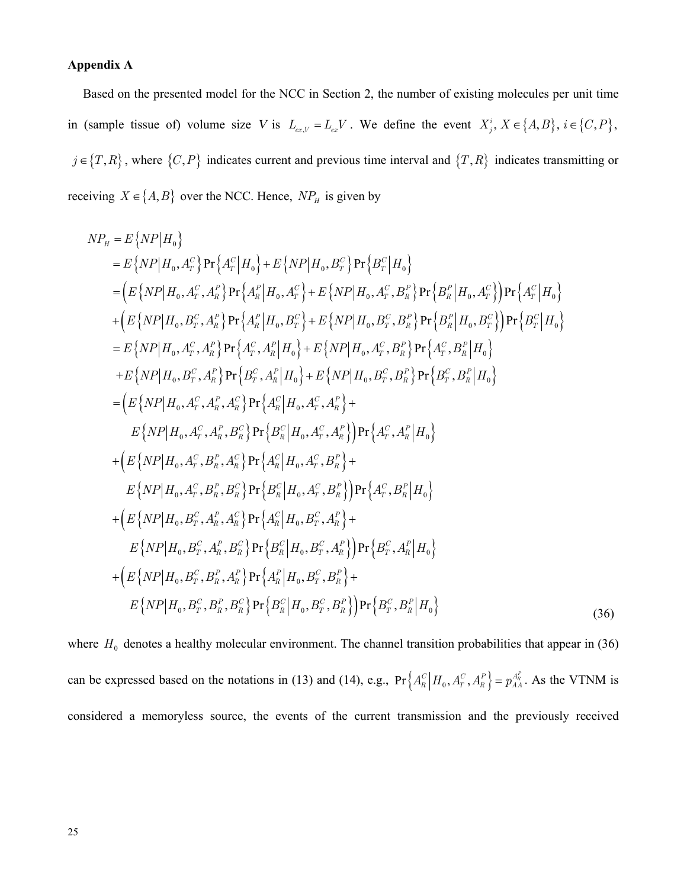#### **Appendix A**

Based on the presented model for the NCC in Section 2, the number of existing molecules per unit time in (sample tissue of) volume size *V* is  $L_{ex,V} = L_{ex}V$ . We define the event  $X_j^i$ ,  $X \in \{A, B\}$ ,  $i \in \{C, P\}$ ,  $j \in \{T, R\}$ , where  $\{C, P\}$  indicates current and previous time interval and  $\{T, R\}$  indicates transmitting or receiving  $X \in \{A, B\}$  over the NCC. Hence,  $NP<sub>H</sub>$  is given by

$$
NP_{H} = E\{NP|H_{0}\}\n= E\{NP|H_{0}, A_{T}^{C}\}Pr\{A_{T}^{C}|H_{0}\} + E\{NP|H_{0}, B_{T}^{C}\}Pr\{B_{T}^{C}|H_{0}\}\n= \left(E\{NP|H_{0}, A_{T}^{C}, A_{R}^{R}\}Pr\{A_{R}^{R}|H_{0}, A_{T}^{C}\} + E\{NP|H_{0}, A_{T}^{C}, B_{R}^{R}\}Pr\{B_{R}^{R}|H_{0}, A_{T}^{C}\}\right)\Pr\{A_{T}^{C}|H_{0}\}\n+ \left(E\{NP|H_{0}, B_{T}^{C}, A_{R}^{R}\}Pr\{A_{R}^{R}|H_{0}, B_{T}^{C}\} + E\{NP|H_{0}, B_{T}^{C}, B_{R}^{R}\}Pr\{B_{R}^{R}|H_{0}, B_{T}^{C}\}\right)\Pr\{B_{T}^{C}|H_{0}\}\n= E\{NP|H_{0}, A_{T}^{C}, A_{R}^{R}\}Pr\{A_{T}^{C}, A_{R}^{R}|H_{0}\} + E\{NP|H_{0}, A_{T}^{C}, B_{R}^{R}\}Pr\{A_{T}^{C}, B_{R}^{R}|H_{0}\}\n+ E\{NP|H_{0}, B_{T}^{C}, A_{R}^{R}\}Pr\{B_{T}^{C}, A_{R}^{R}|H_{0}\} + E\{NP|H_{0}, B_{T}^{C}, B_{R}^{R}\}Pr\{B_{T}^{C}, B_{R}^{R}|H_{0}\}\n= \left(E\{NP|H_{0}, A_{T}^{C}, A_{R}^{R}, A_{R}^{C}\}Pr\{A_{R}^{C}|H_{0}, A_{T}^{C}, A_{R}^{R}\}\right)+\nE\{NP|H_{0}, A_{T}^{C}, A_{R}^{R}, A_{R}^{C}\}Pr\{B_{R}^{C}|H_{0}, A_{T}^{C}, A_{R}^{R}\}\right)+\nE\{NP|H_{0}, A_{T}^{C}, A_{R}^{R}, B_{R}^{C}\}Pr\{B_{R}^{C}|H_{0}, A_{T}^{C}, A_{R}^{R}\}\} + E\{NP|H_{0}, A_{T}^{C}, B_{R}^{R}, A_{R}^{C}\}Pr\{B_{R}^{C}|H_{0}, A_{T}^{C}, B_{R}^{R}\}\} + E\{
$$

where  $H_0$  denotes a healthy molecular environment. The channel transition probabilities that appear in (36) can be expressed based on the notations in (13) and (14), e.g.,  $Pr\left\{A_R^C \middle| H_0, A_T^C, A_R^P\right\} = p_{AA}^{A_R^P}$ . As the VTNM is considered a memoryless source, the events of the current transmission and the previously received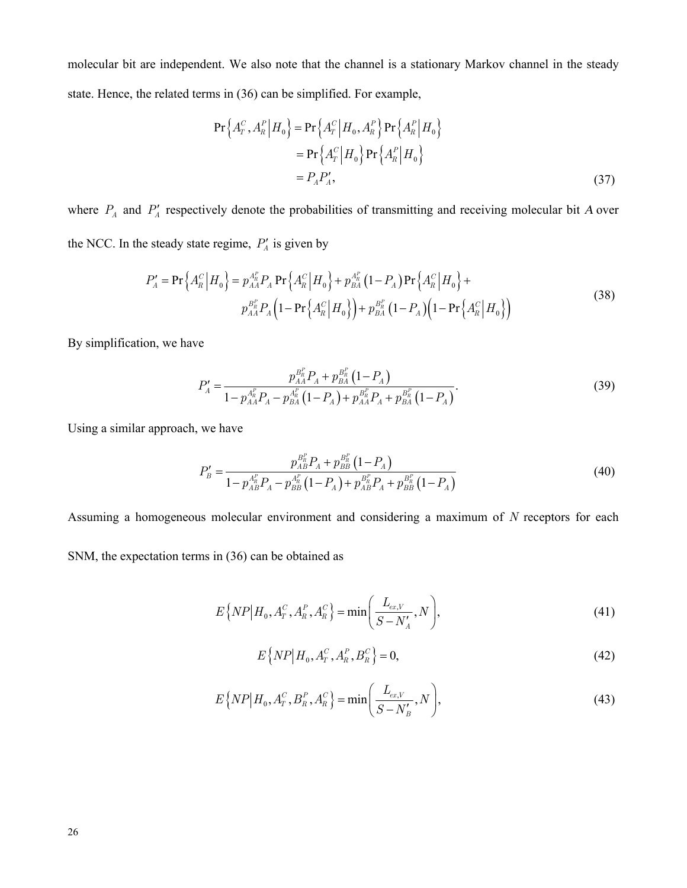molecular bit are independent. We also note that the channel is a stationary Markov channel in the steady state. Hence, the related terms in (36) can be simplified. For example,

$$
\Pr\left\{A_{T}^{C}, A_{R}^{P} \middle| H_{0}\right\} = \Pr\left\{A_{T}^{C} \middle| H_{0}, A_{R}^{P}\right\} \Pr\left\{A_{R}^{P} \middle| H_{0}\right\} \n= \Pr\left\{A_{T}^{C} \middle| H_{0}\right\} \Pr\left\{A_{R}^{P} \middle| H_{0}\right\} \n= P_{A}P_{A}^{\prime},
$$
\n(37)

where  $P_A$  and  $P'_A$  respectively denote the probabilities of transmitting and receiving molecular bit *A* over the NCC. In the steady state regime,  $P'_A$  is given by

$$
P'_{A} = \Pr\left\{A_{R}^{C} \middle| H_{0}\right\} = p_{AA}^{A_{R}^{P}} P_{A} \Pr\left\{A_{R}^{C} \middle| H_{0}\right\} + p_{BA}^{A_{R}^{P}} \left(1 - P_{A}\right) \Pr\left\{A_{R}^{C} \middle| H_{0}\right\} + p_{AA}^{B_{R}^{P}} P_{A} \left(1 - \Pr\left\{A_{R}^{C} \middle| H_{0}\right\}\right) + p_{BA}^{B_{R}^{P}} \left(1 - P_{A}\right) \left(1 - \Pr\left\{A_{R}^{C} \middle| H_{0}\right\}\right)
$$
\n(38)

By simplification, we have

$$
P'_{A} = \frac{p_{AA}^{B_R^p} P_A + p_{BA}^{B_R^p} (1 - P_A)}{1 - p_{AA}^{A_R^p} P_A - p_{BA}^{A_R^p} (1 - P_A) + p_{AA}^{B_R^p} P_A + p_{BA}^{B_R^p} (1 - P_A)}.
$$
(39)

Using a similar approach, we have

$$
P'_{B} = \frac{p_{AB}^{B_R^P} P_A + p_{BB}^{B_R^P} (1 - P_A)}{1 - p_{AB}^{A_R^P} P_A - p_{BB}^{A_R^P} (1 - P_A) + p_{AB}^{B_R^P} P_A + p_{BB}^{B_R^P} (1 - P_A)}
$$
(40)

Assuming a homogeneous molecular environment and considering a maximum of *N* receptors for each

SNM, the expectation terms in (36) can be obtained as

$$
E\{NP|H_0, A_r^C, A_R^P, A_R^C\} = \min\bigg(\frac{L_{ex,V}}{S - N'_A}, N\bigg),\tag{41}
$$

$$
E\{NP|H_0, A_T^C, A_R^P, B_R^C\} = 0,
$$
\n(42)

$$
E\{NP|H_0, A_r^C, B_R^P, A_R^C\} = \min\bigg(\frac{L_{ex,V}}{S - N'_B}, N\bigg),\tag{43}
$$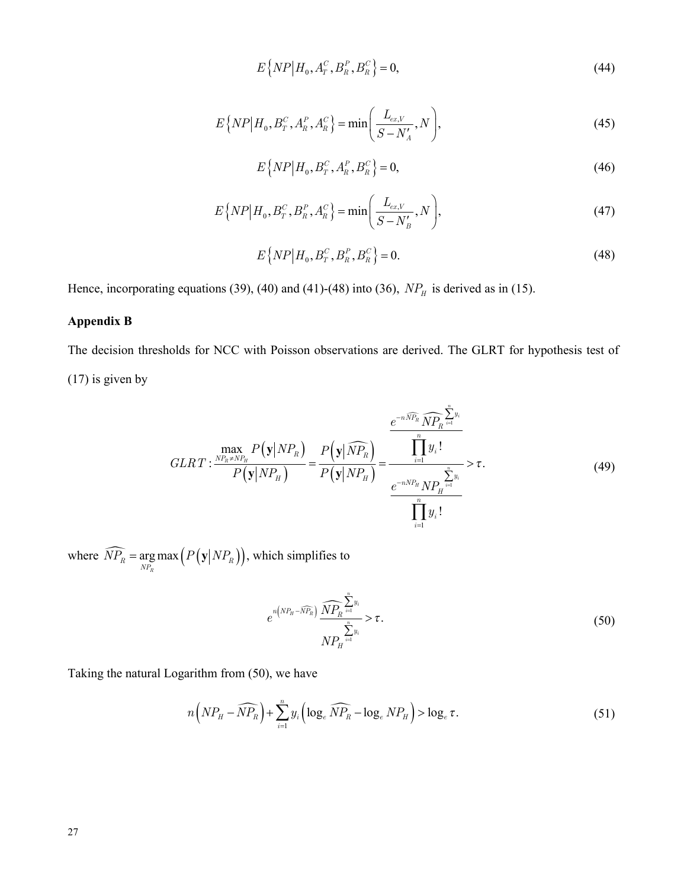$$
E\{NP|H_0, A_r^C, B_R^P, B_R^C\} = 0,
$$
\n(44)

$$
E\{NP|H_0, B_T^C, A_R^P, A_R^C\} = \min\bigg(\frac{L_{ex,V}}{S - N'_A}, N\bigg),\tag{45}
$$

$$
E\left\{ NP \middle| H_0, B_T^C, A_R^P, B_R^C \right\} = 0,\tag{46}
$$

$$
E\{NP|H_0, B_T^C, B_R^P, A_R^C\} = \min\bigg(\frac{L_{ex,V}}{S - N'_B}, N\bigg),\tag{47}
$$

$$
E\{NP|H_0, B_T^C, B_R^P, B_R^C\} = 0.
$$
\n(48)

Hence, incorporating equations (39), (40) and (41)-(48) into (36),  $NP<sub>H</sub>$  is derived as in (15).

# **Appendix B**

The decision thresholds for NCC with Poisson observations are derived. The GLRT for hypothesis test of

(17) is given by

$$
GLRT: \frac{\max_{NP_R \neq NP_H} P(\mathbf{y}|NP_R)}{P(\mathbf{y}|NP_H)} = \frac{P(\mathbf{y}|\widehat{NP}_R)}{P(\mathbf{y}|NP_H)} = \frac{\frac{e^{-n\widehat{NP}_R}\widehat{NP}_R^{\sum_{i=1}^{n}y_i}}{\prod_{i=1}^{n}y_i!}}{\frac{e^{-n\widehat{NP}_R}\widehat{NP}_H^{\sum_{i=1}^{n}y_i}} > \tau. \tag{49}
$$

where  $\widehat{NP_R} = \arg \max \left( P(\mathbf{y}|NP_R) \right)$  $NP_R$  =  $\underset{NP_R}{\arg \max} (P(\mathbf{y}|NP_R))$ , which simplifies to

$$
e^{n\left(NP_{H}-\widehat{N}P_{R}\right)}\frac{\widehat{NP}_{R}^{\sum\limits_{i=1}^{n}y_{i}}}{NP_{H}^{\sum\limits_{i=1}^{n}y_{i}}}\geq\tau.\tag{50}
$$

Taking the natural Logarithm from (50), we have

$$
n\left(NP_{H}-\widehat{NP}_{R}\right)+\sum_{i=1}^{n}y_{i}\left(\log_{e}\widehat{NP}_{R}-\log_{e}NP_{H}\right)>\log_{e}\tau.
$$
\n(51)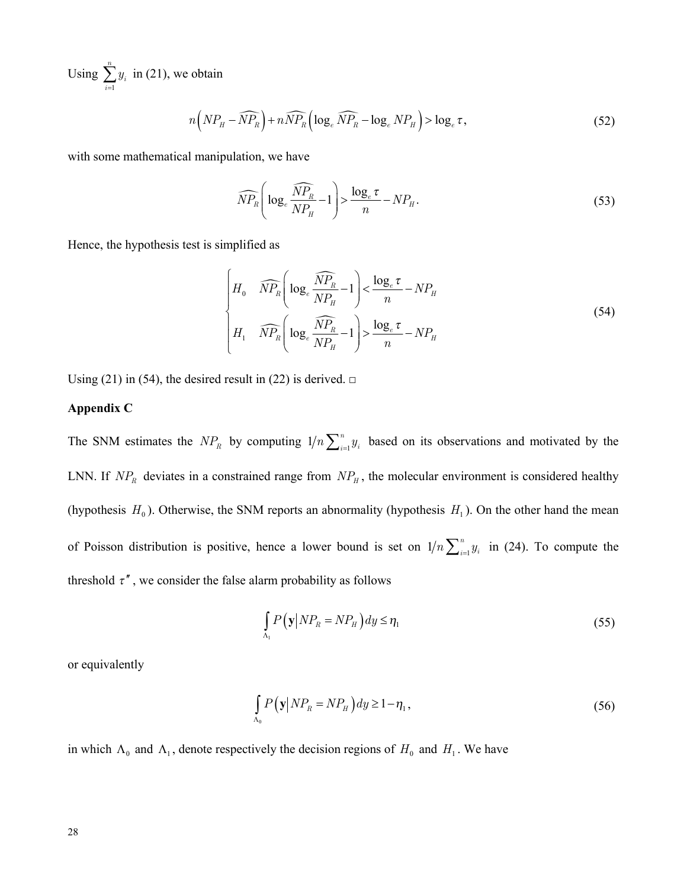Using 1 *n*  $\sum_{i=1}^{g_i}$ *y*  $\sum_{i=1} y_i$  in (21), we obtain

$$
n\left(NP_{H}-\widehat{NP_{R}}\right)+n\widehat{NP_{R}}\left(\log_{e}\widehat{NP_{R}}-\log_{e}NP_{H}\right)>\log_{e}\tau,
$$
\n(52)

with some mathematical manipulation, we have

$$
\widehat{NP}_R \left( \log_e \frac{\widehat{NP}_R}{NP_H} - 1 \right) > \frac{\log_e \tau}{n} - NP_H. \tag{53}
$$

Hence, the hypothesis test is simplified as

$$
\begin{cases}\nH_0 & \widehat{NP}_R \left( \log_e \frac{\widehat{NP}_R}{NP_H} - 1 \right) < \frac{\log_e \tau}{n} - NP_H \\
H_1 & \widehat{NP}_R \left( \log_e \frac{\widehat{NP}_R}{NP_H} - 1 \right) > \frac{\log_e \tau}{n} - NP_H\n\end{cases} \tag{54}
$$

Using (21) in (54), the desired result in (22) is derived.  $\square$ 

#### **Appendix C**

The SNM estimates the  $NP_R$  by computing  $1/n \sum_{i=1}^n$  $n \sum_{i=1}^{n} y_i$  based on its observations and motivated by the LNN. If  $NP<sub>R</sub>$  deviates in a constrained range from  $NP<sub>H</sub>$ , the molecular environment is considered healthy (hypothesis  $H_0$ ). Otherwise, the SNM reports an abnormality (hypothesis  $H_1$ ). On the other hand the mean of Poisson distribution is positive, hence a lower bound is set on  $1/n \sum_{i=1}^{n}$  $in \sum_{i=1}^{n} y_i$  in (24). To compute the threshold  $\tau''$ , we consider the false alarm probability as follows

$$
\int_{\Lambda_1} P(\mathbf{y}|NP_R = NP_H) dy \le \eta_1 \tag{55}
$$

or equivalently

$$
\int_{\Lambda_0} P(\mathbf{y}|NP_R = NP_H) dy \ge 1 - \eta_1,\tag{56}
$$

in which  $\Lambda_0$  and  $\Lambda_1$ , denote respectively the decision regions of  $H_0$  and  $H_1$ . We have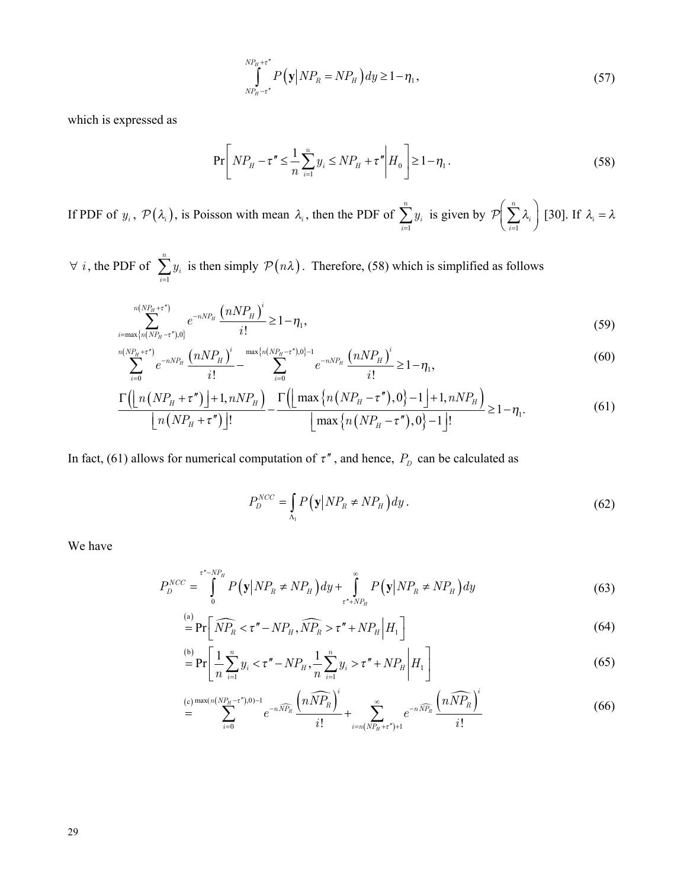$$
\int_{N P_H - \tau''}^{N P_H + \tau''} P\left(\mathbf{y} \, \middle| \, N P_R = N P_H \right) dy \ge 1 - \eta_1 \,,\tag{57}
$$

which is expressed as

$$
\Pr\left[ NP_{H} - \tau'' \leq \frac{1}{n} \sum_{i=1}^{n} y_{i} \leq NP_{H} + \tau'' \middle| H_{0} \right] \geq 1 - \eta_{1}.
$$
\n(58)

If PDF of  $y_i$ ,  $\mathcal{P}(\lambda_i)$ , is Poisson with mean  $\lambda_i$ , then the PDF of  $\sum_{i=1}^n y_i$  is given by  $\mathcal{P}\left(\sum_{i=1}^n \lambda_i\right)$  [30]. If  $\lambda_i = \lambda$ 

 $\forall i$ , the PDF of  $\sum_{i=1}^{n} y_i$  is then simply  $\mathcal{P}(n\lambda)$ . Therefore, (58) which is simplified as follows

$$
\sum_{i=\max\{n(NP_H-\tau^*),0\}}^{n(NP_H+\tau^*)} e^{-nNP_H} \frac{\left(nNP_H\right)^i}{i!} \ge 1-\eta_1,\tag{59}
$$

$$
\sum_{i=0}^{n(NP_H+\tau')} e^{-nNP_H} \frac{\left(nNP_H\right)^i}{i!} - \sum_{i=0}^{\max\{n(NP_H-\tau'),0\}-1} e^{-nNP_H} \frac{\left(nNP_H\right)^i}{i!} \ge 1 - \eta_1,\tag{60}
$$

$$
\frac{\Gamma\left(\left\lfloor n\left(NP_{H}+\tau''\right)\right\rfloor+1,nNP_{H}\right)}{\left\lfloor n\left(NP_{H}+\tau''\right)\right\rfloor!}-\frac{\Gamma\left(\left\lfloor \max\left\{ n\left(NP_{H}-\tau''\right),0\right\}-1\right\rfloor+1,nNP_{H}\right)}{\left\lfloor \max\left\{ n\left(NP_{H}-\tau''\right),0\right\}-1\right\rfloor!}\geq1-\eta_{1}.\tag{61}
$$

In fact, (61) allows for numerical computation of  $\tau''$ , and hence,  $P_D$  can be calculated as

$$
P_D^{NCC} = \int_{\Lambda_1} P(\mathbf{y} | NP_R \neq NP_H) dy.
$$
 (62)

We have

$$
P_D^{NCC} = \int_0^{\tau^* - NP_H} P(\mathbf{y} | NP_R \neq NP_H) dy + \int_{\tau^* + NP_H}^{\infty} P(\mathbf{y} | NP_R \neq NP_H) dy
$$
 (63)

$$
\overset{\text{(a)}}{=} \Pr\bigg[\widehat{NP}_R < \tau'' - NP_H, \widehat{NP}_R > \tau'' + NP_H \Big| H_1 \bigg] \tag{64}
$$

$$
\overset{\text{(b)}}{=} \Pr\bigg[ \frac{1}{n} \sum_{i=1}^{n} y_i < \tau'' - NP_H, \frac{1}{n} \sum_{i=1}^{n} y_i > \tau'' + NP_H \bigg| H_1 \bigg] \tag{65}
$$

$$
\sum_{i=0}^{(c)} \sum_{i=0}^{\max(n(NP_H-\tau^*),0)-1} e^{-n\widehat{N}P_R} \frac{\left(n\widehat{N}P_R\right)^i}{i!} + \sum_{i=n(NP_H+\tau^*)+1}^{\infty} e^{-n\widehat{N}P_R} \frac{\left(n\widehat{N}P_R\right)^i}{i!} \tag{66}
$$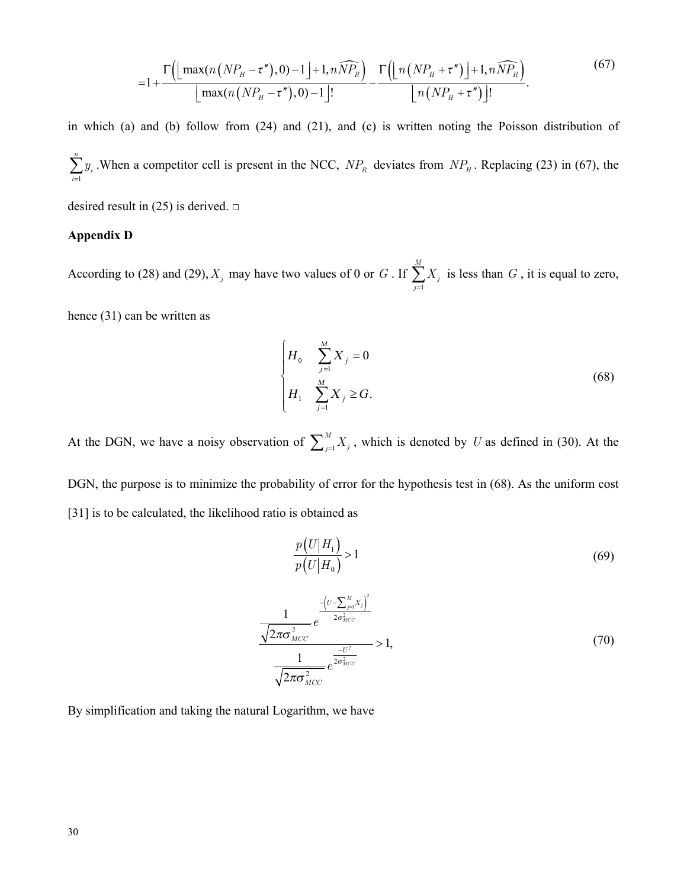$$
=1+\frac{\Gamma\left(\left\lfloor\max\left(n\left(NP_{H}-\tau''\right),0\right)-1\right\rfloor+1,n\widehat{NP_{R}}\right)}{\left\lfloor\max\left(n\left(NP_{H}-\tau''\right),0\right)-1\right\rfloor!}-\frac{\Gamma\left(\left\lfloor n\left(NP_{H}+\tau''\right)\right\rfloor+1,n\widehat{NP_{R}}\right)}{\left\lfloor n\left(NP_{H}+\tau''\right)\right\rfloor!}.
$$
\n(67)

in which (a) and (b) follow from (24) and (21), and (c) is written noting the Poisson distribution of 1 *n*  $\sum_{i=1}^{\infty}$ <sup>y</sup><sub>i</sub> *y*  $\sum_{i=1} y_i$ . When a competitor cell is present in the NCC,  $NP_R$  deviates from  $NP_H$ . Replacing (23) in (67), the

desired result in (25) is derived.  $\square$ 

#### **Appendix D**

According to (28) and (29),  $X_j$  may have two values of 0 or *G*. If  $\sum_{j=1}$ *M*  $\sum_{j=1}^{I}$ *X*  $\sum_{j=1} X_j$  is less than *G*, it is equal to zero,

hence (31) can be written as

$$
\begin{cases}\nH_0 & \sum_{j=1}^{M} X_j = 0 \\
H_1 & \sum_{j=1}^{M} X_j \ge G.\n\end{cases}
$$
\n(68)

At the DGN, we have a noisy observation of  $\sum_{j=1}^{M}$ *M*  $\sum_{j=1}^{M} X_j$ , which is denoted by *U* as defined in (30). At the

DGN, the purpose is to minimize the probability of error for the hypothesis test in (68). As the uniform cost [31] is to be calculated, the likelihood ratio is obtained as

$$
\frac{p(U|H_1)}{p(U|H_0)} > 1\tag{69}
$$

$$
\frac{1}{\sqrt{2\pi\sigma_{MCC}^{2}}}e^{-\frac{\left(U-\sum_{j=1}^{M}X_{j}\right)^{2}}{2\sigma_{MCC}^{2}}}>1,
$$
\n
$$
\frac{1}{\sqrt{2\pi\sigma_{MCC}^{2}}}e^{\frac{-U^{2}}{2\sigma_{MCC}^{2}}}>1,
$$
\n(70)

By simplification and taking the natural Logarithm, we have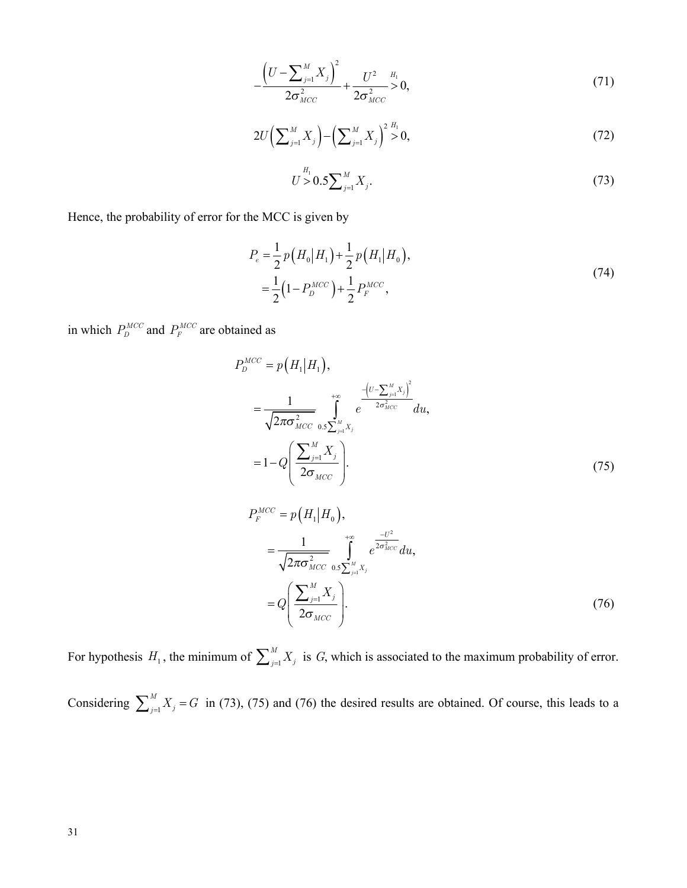$$
-\frac{\left(U-\sum_{j=1}^{M}X_j\right)^2}{2\sigma_{MCC}^2}+\frac{U^2}{2\sigma_{MCC}^2}>0,
$$
\n(71)

$$
2U\left(\sum_{j=1}^{M}X_j\right) - \left(\sum_{j=1}^{M}X_j\right)^2 \geq 0, \tag{72}
$$

$$
U \supset H_1 \cup U \supset H_2 \cup U_3 \big( 73
$$

Hence, the probability of error for the MCC is given by

$$
P_e = \frac{1}{2} p (H_0 | H_1) + \frac{1}{2} p (H_1 | H_0),
$$
  
=  $\frac{1}{2} (1 - P_D^{MCC}) + \frac{1}{2} P_F^{MCC},$  (74)

in which  $P_D^{MCC}$  and  $P_F^{MCC}$  are obtained as

$$
P_D^{MCC} = p(H_1|H_1),
$$
  
=  $\frac{1}{\sqrt{2\pi\sigma_{MCC}^2}} \int_{0.5\sum_{j=1}^{M} X_j}^{+\infty} e^{-\frac{(U - \sum_{j=1}^{M} X_j)^2}{2\sigma_{MCC}^2}} du,$   
=  $1 - Q\left(\frac{\sum_{j=1}^{M} X_j}{2\sigma_{MCC}}\right).$  (75)

$$
P_F^{MCC} = p(H_1|H_0),
$$
  
=  $\frac{1}{\sqrt{2\pi\sigma_{MCC}^2}} \int_{0.5\sum_{j=1}^{M} X_j}^{+\infty} e^{\frac{-U^2}{2\sigma_{MCC}^2}} du,$   
=  $Q\left(\frac{\sum_{j=1}^{M} X_j}{2\sigma_{MCC}}\right).$  (76)

For hypothesis  $H_1$ , the minimum of  $\sum_{j=1}^{M} X_j$  is G, which is associated to the maximum probability of error. Considering  $\sum_{j=1}^{M} X_j = G$  in (73), (75) and (76) the desired results are obtained. Of course, this leads to a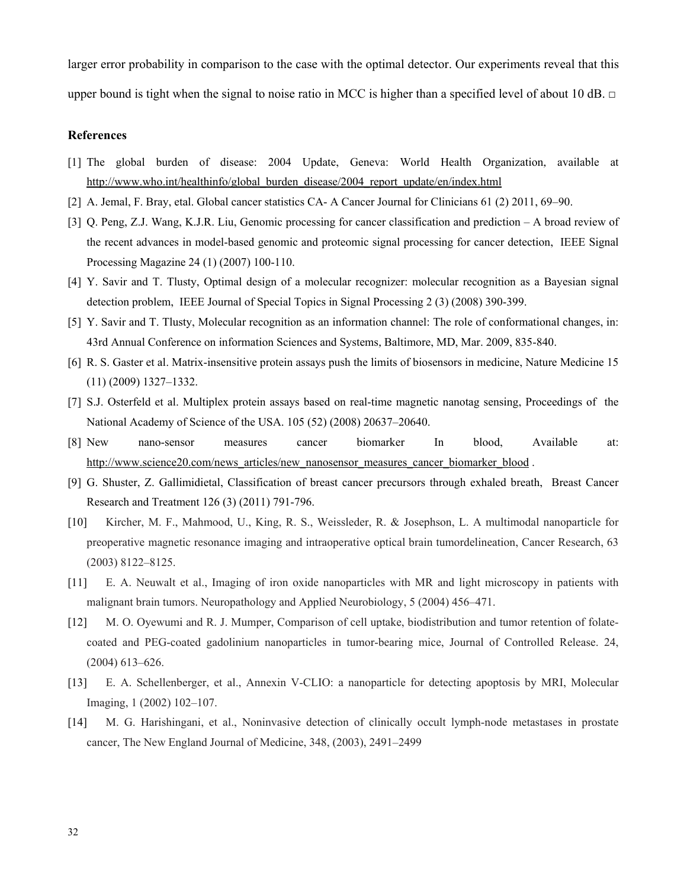larger error probability in comparison to the case with the optimal detector. Our experiments reveal that this upper bound is tight when the signal to noise ratio in MCC is higher than a specified level of about 10 dB.  $\Box$ 

## **References**

- [1] The global burden of disease: 2004 Update, Geneva: World Health Organization*,* available at [http://www.who.int/healthinfo/global\\_burden\\_disease/2004\\_report\\_update/en/index.html](http://www.who.int/healthinfo/global_burden_disease/2004_report_update/en/index.html)
- [2] A. Jemal, F. Bray, etal. Global cancer statistics CA- A Cancer Journal for Clinicians 61 (2) 2011, 69–90.
- [3] Q. Peng, Z.J. Wang, K.J.R. Liu, Genomic processing for cancer classification and prediction A broad review of the recent advances in model-based genomic and proteomic signal processing for cancer detection, IEEE Signal Processing Magazine 24 (1) (2007) 100-110.
- [4] Y. Savir and T. Tlusty, Optimal design of a molecular recognizer: molecular recognition as a Bayesian signal detection problem, IEEE Journal of Special Topics in Signal Processing 2 (3) (2008) 390-399.
- [5] Y. Savir and T. Tlusty, Molecular recognition as an information channel: The role of conformational changes, in: 43rd Annual Conference on information Sciences and Systems*,* Baltimore, MD, Mar. 2009, 835-840.
- [6] R. S. Gaster et al. Matrix-insensitive protein assays push the limits of biosensors in medicine, Nature Medicine 15 (11) (2009) 1327–1332.
- [7] S.J. Osterfeld et al. Multiplex protein assays based on real-time magnetic nanotag sensing, Proceedings of the National Academy of Science of the USA. 105 (52) (2008) 20637–20640.
- [8] New nano-sensor measures cancer biomarker In blood, Available at: [http://www.science20.com/news\\_articles/new\\_nanosensor\\_measures\\_cancer\\_biomarker\\_blood](http://www.science20.com/news_articles/new_nanosensor_measures_cancer_biomarker_blood) .
- [9] G. Shuster, Z. Gallimidietal, Classification of breast cancer precursors through exhaled breath, Breast Cancer Research and Treatment 126 (3) (2011) 791-796.
- [10] Kircher, M. F., Mahmood, U., King, R. S., Weissleder, R. & Josephson, L. A multimodal nanoparticle for preoperative magnetic resonance imaging and intraoperative optical brain tumordelineation, Cancer Research, 63 (2003) 8122–8125.
- [11] E. A. Neuwalt et al., Imaging of iron oxide nanoparticles with MR and light microscopy in patients with malignant brain tumors. Neuropathology and Applied Neurobiology, 5 (2004) 456–471.
- [12] M. O. Oyewumi and R. J. Mumper, Comparison of cell uptake, biodistribution and tumor retention of folatecoated and PEG-coated gadolinium nanoparticles in tumor-bearing mice, Journal of Controlled Release. 24, (2004) 613–626.
- [13] E. A. Schellenberger, et al., Annexin V-CLIO: a nanoparticle for detecting apoptosis by MRI, Molecular Imaging, 1 (2002) 102–107.
- [14] M. G. Harishingani, et al., Noninvasive detection of clinically occult lymph-node metastases in prostate cancer, The New England Journal of Medicine, 348, (2003), 2491–2499